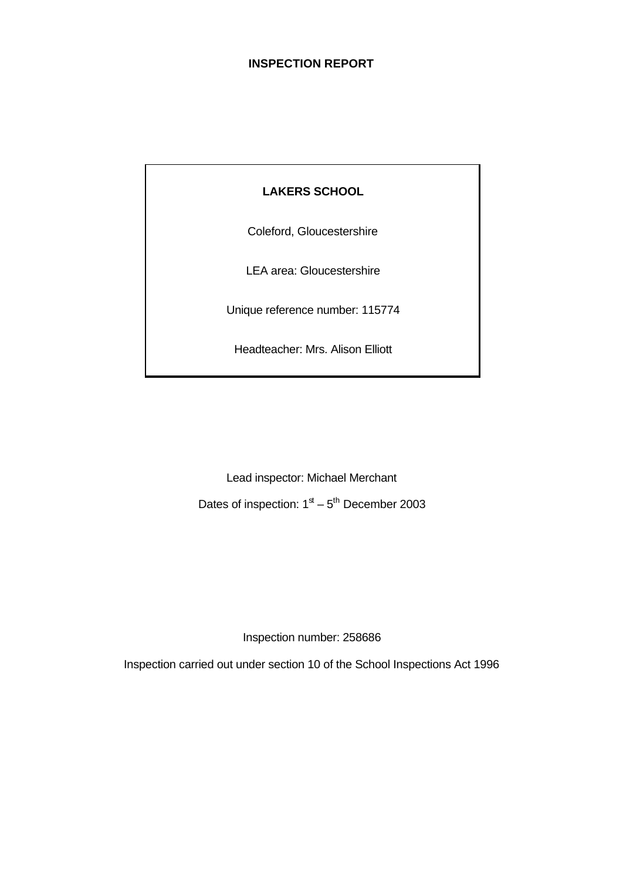# **INSPECTION REPORT**

# **LAKERS SCHOOL**

Coleford, Gloucestershire

LEA area: Gloucestershire

Unique reference number: 115774

Headteacher: Mrs. Alison Elliott

Lead inspector: Michael Merchant Dates of inspection:  $1<sup>st</sup> - 5<sup>th</sup>$  December 2003

Inspection number: 258686

Inspection carried out under section 10 of the School Inspections Act 1996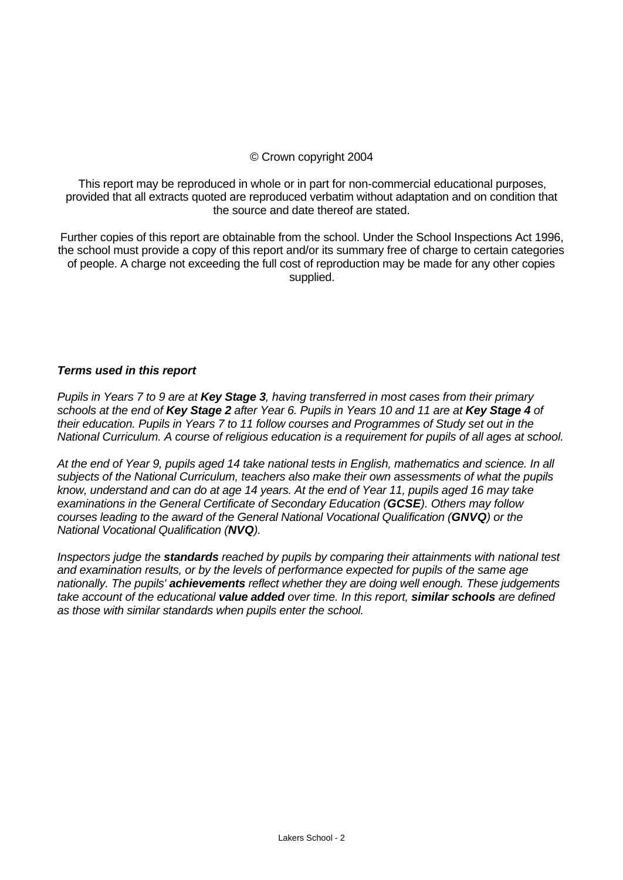# © Crown copyright 2004

This report may be reproduced in whole or in part for non-commercial educational purposes, provided that all extracts quoted are reproduced verbatim without adaptation and on condition that the source and date thereof are stated.

Further copies of this report are obtainable from the school. Under the School Inspections Act 1996, the school must provide a copy of this report and/or its summary free of charge to certain categories of people. A charge not exceeding the full cost of reproduction may be made for any other copies supplied.

#### *Terms used in this report*

*Pupils in Years 7 to 9 are at Key Stage 3, having transferred in most cases from their primary schools at the end of Key Stage 2 after Year 6. Pupils in Years 10 and 11 are at Key Stage 4 of their education. Pupils in Years 7 to 11 follow courses and Programmes of Study set out in the National Curriculum. A course of religious education is a requirement for pupils of all ages at school.*

*At the end of Year 9, pupils aged 14 take national tests in English, mathematics and science. In all subjects of the National Curriculum, teachers also make their own assessments of what the pupils know, understand and can do at age 14 years. At the end of Year 11, pupils aged 16 may take examinations in the General Certificate of Secondary Education (GCSE). Others may follow courses leading to the award of the General National Vocational Qualification (GNVQ) or the National Vocational Qualification (NVQ).*

*Inspectors judge the standards reached by pupils by comparing their attainments with national test and examination results, or by the levels of performance expected for pupils of the same age nationally. The pupils' achievements reflect whether they are doing well enough. These judgements take account of the educational value added over time. In this report, similar schools are defined as those with similar standards when pupils enter the school.*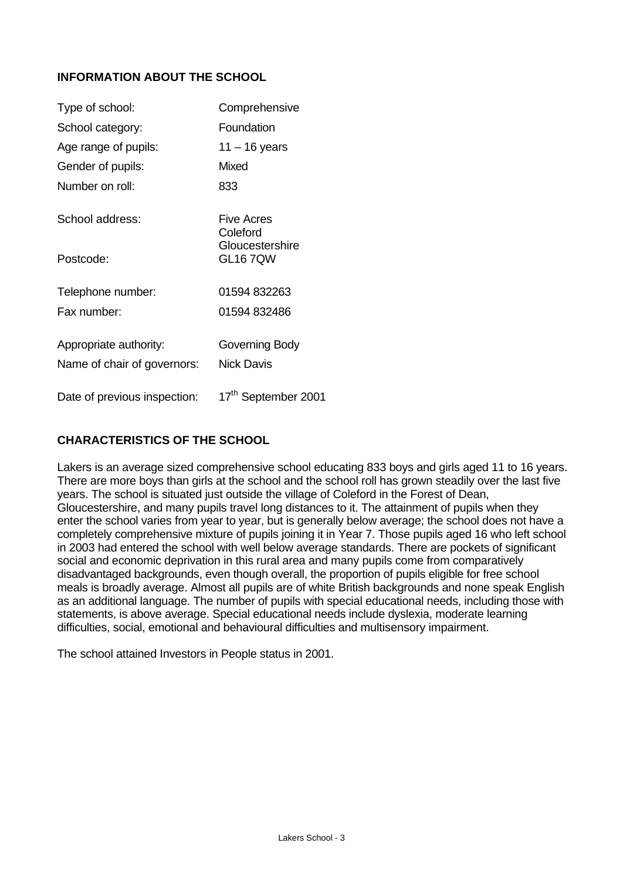# **INFORMATION ABOUT THE SCHOOL**

| Type of school:              | Comprehensive                     |
|------------------------------|-----------------------------------|
| School category:             | Foundation                        |
| Age range of pupils:         | $11 - 16$ years                   |
| Gender of pupils:            | Mixed                             |
| Number on roll:              | 833                               |
| School address:              | Five Acres<br>Coleford            |
| Postcode:                    | Gloucestershire<br><b>GL167QW</b> |
| Telephone number:            | 01594 832263                      |
| Fax number:                  | 01594 832486                      |
| Appropriate authority:       | Governing Body                    |
| Name of chair of governors:  | <b>Nick Davis</b>                 |
| Date of previous inspection: | 17 <sup>th</sup> September 2001   |

# **CHARACTERISTICS OF THE SCHOOL**

Lakers is an average sized comprehensive school educating 833 boys and girls aged 11 to 16 years. There are more boys than girls at the school and the school roll has grown steadily over the last five years. The school is situated just outside the village of Coleford in the Forest of Dean, Gloucestershire, and many pupils travel long distances to it. The attainment of pupils when they enter the school varies from year to year, but is generally below average; the school does not have a completely comprehensive mixture of pupils joining it in Year 7. Those pupils aged 16 who left school in 2003 had entered the school with well below average standards. There are pockets of significant social and economic deprivation in this rural area and many pupils come from comparatively disadvantaged backgrounds, even though overall, the proportion of pupils eligible for free school meals is broadly average. Almost all pupils are of white British backgrounds and none speak English as an additional language. The number of pupils with special educational needs, including those with statements, is above average. Special educational needs include dyslexia, moderate learning difficulties, social, emotional and behavioural difficulties and multisensory impairment.

The school attained Investors in People status in 2001.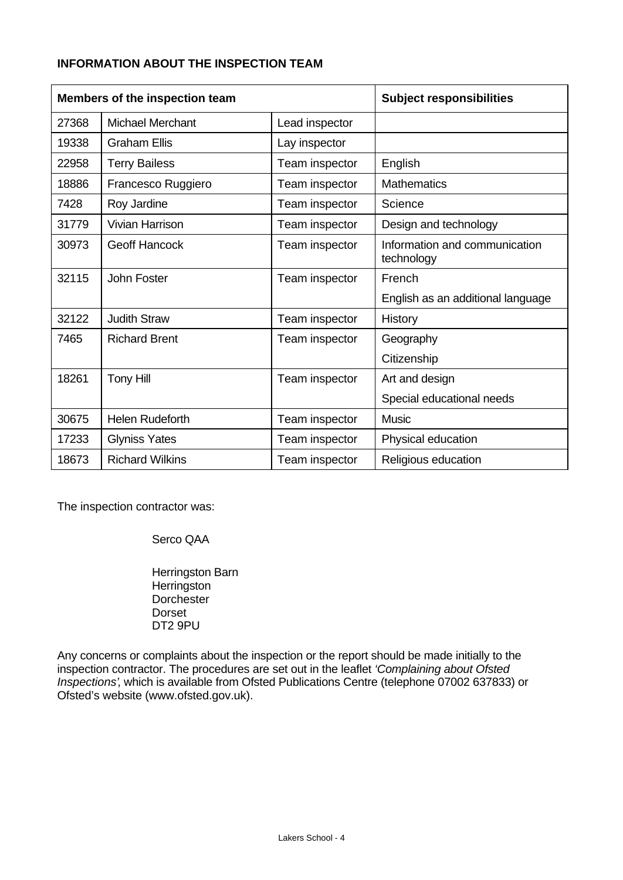# **INFORMATION ABOUT THE INSPECTION TEAM**

| Members of the inspection team |                         |                | <b>Subject responsibilities</b>             |
|--------------------------------|-------------------------|----------------|---------------------------------------------|
| 27368                          | <b>Michael Merchant</b> | Lead inspector |                                             |
| 19338                          | <b>Graham Ellis</b>     | Lay inspector  |                                             |
| 22958                          | <b>Terry Bailess</b>    | Team inspector | English                                     |
| 18886                          | Francesco Ruggiero      | Team inspector | <b>Mathematics</b>                          |
| 7428                           | Roy Jardine             | Team inspector | Science                                     |
| 31779                          | <b>Vivian Harrison</b>  | Team inspector | Design and technology                       |
| 30973                          | <b>Geoff Hancock</b>    | Team inspector | Information and communication<br>technology |
| 32115                          | John Foster             | Team inspector | French                                      |
|                                |                         |                | English as an additional language           |
| 32122                          | <b>Judith Straw</b>     | Team inspector | <b>History</b>                              |
| 7465                           | <b>Richard Brent</b>    | Team inspector | Geography                                   |
|                                |                         |                | Citizenship                                 |
| 18261                          | <b>Tony Hill</b>        | Team inspector | Art and design                              |
|                                |                         |                | Special educational needs                   |
| 30675                          | <b>Helen Rudeforth</b>  | Team inspector | <b>Music</b>                                |
| 17233                          | <b>Glyniss Yates</b>    | Team inspector | Physical education                          |
| 18673                          | <b>Richard Wilkins</b>  | Team inspector | Religious education                         |

The inspection contractor was:

Serco QAA

Herringston Barn **Herringston Dorchester** Dorset DT2 9PU

Any concerns or complaints about the inspection or the report should be made initially to the inspection contractor. The procedures are set out in the leaflet *'Complaining about Ofsted Inspections'*, which is available from Ofsted Publications Centre (telephone 07002 637833) or Ofsted's website (www.ofsted.gov.uk).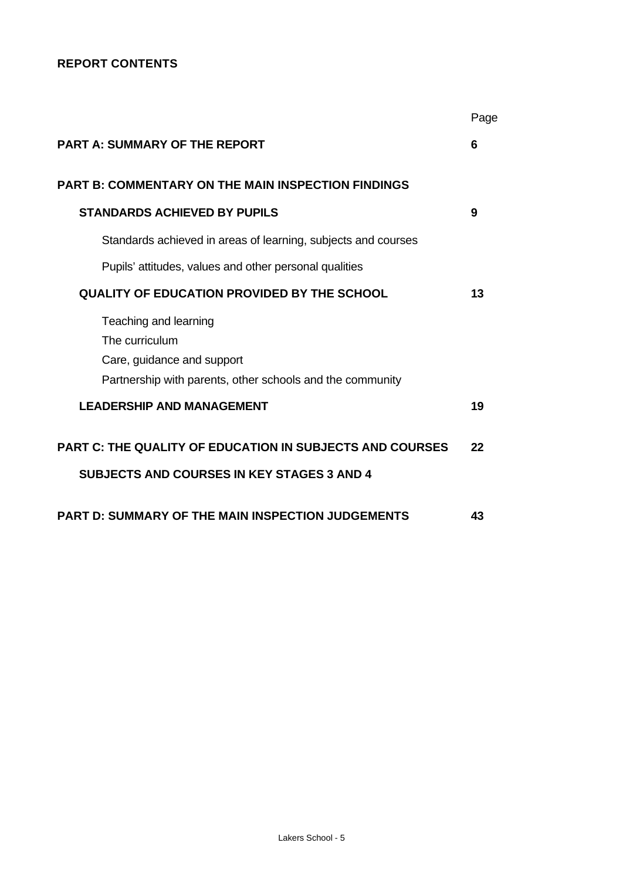# **REPORT CONTENTS**

|                                                                 | Page |
|-----------------------------------------------------------------|------|
| <b>PART A: SUMMARY OF THE REPORT</b>                            | 6    |
| <b>PART B: COMMENTARY ON THE MAIN INSPECTION FINDINGS</b>       |      |
| <b>STANDARDS ACHIEVED BY PUPILS</b>                             | 9    |
| Standards achieved in areas of learning, subjects and courses   |      |
| Pupils' attitudes, values and other personal qualities          |      |
| <b>QUALITY OF EDUCATION PROVIDED BY THE SCHOOL</b>              | 13   |
| Teaching and learning                                           |      |
| The curriculum                                                  |      |
| Care, guidance and support                                      |      |
| Partnership with parents, other schools and the community       |      |
| <b>LEADERSHIP AND MANAGEMENT</b>                                | 19   |
| <b>PART C: THE QUALITY OF EDUCATION IN SUBJECTS AND COURSES</b> | 22   |
| <b>SUBJECTS AND COURSES IN KEY STAGES 3 AND 4</b>               |      |
| <b>PART D: SUMMARY OF THE MAIN INSPECTION JUDGEMENTS</b>        | 43   |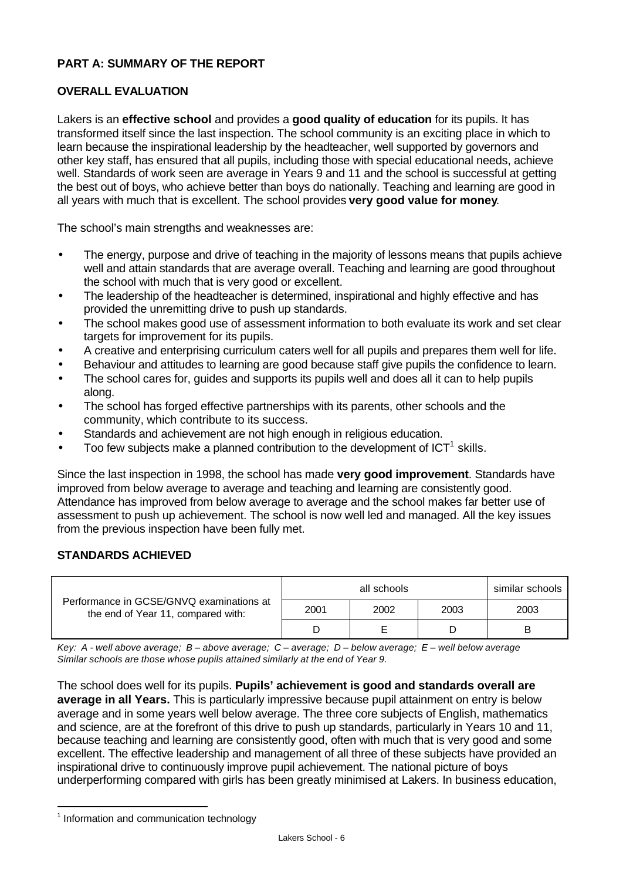# **PART A: SUMMARY OF THE REPORT**

# **OVERALL EVALUATION**

Lakers is an **effective school** and provides a **good quality of education** for its pupils. It has transformed itself since the last inspection. The school community is an exciting place in which to learn because the inspirational leadership by the headteacher, well supported by governors and other key staff, has ensured that all pupils, including those with special educational needs, achieve well. Standards of work seen are average in Years 9 and 11 and the school is successful at getting the best out of boys, who achieve better than boys do nationally. Teaching and learning are good in all years with much that is excellent. The school provides **very good value for money**.

The school's main strengths and weaknesses are:

- The energy, purpose and drive of teaching in the majority of lessons means that pupils achieve well and attain standards that are average overall. Teaching and learning are good throughout the school with much that is very good or excellent.
- The leadership of the headteacher is determined, inspirational and highly effective and has provided the unremitting drive to push up standards.
- The school makes good use of assessment information to both evaluate its work and set clear targets for improvement for its pupils.
- A creative and enterprising curriculum caters well for all pupils and prepares them well for life.
- Behaviour and attitudes to learning are good because staff give pupils the confidence to learn.
- The school cares for, guides and supports its pupils well and does all it can to help pupils along.
- The school has forged effective partnerships with its parents, other schools and the community, which contribute to its success.
- Standards and achievement are not high enough in religious education.
- $\bullet$  Too few subjects make a planned contribution to the development of ICT<sup>1</sup> skills.

Since the last inspection in 1998, the school has made **very good improvement**. Standards have improved from below average to average and teaching and learning are consistently good. Attendance has improved from below average to average and the school makes far better use of assessment to push up achievement. The school is now well led and managed. All the key issues from the previous inspection have been fully met.

#### **STANDARDS ACHIEVED**

|                                                                                | all schools<br>similar schools |      |      |      |  |  |
|--------------------------------------------------------------------------------|--------------------------------|------|------|------|--|--|
| Performance in GCSE/GNVQ examinations at<br>the end of Year 11, compared with: | 2001                           | 2002 | 2003 | 2003 |  |  |
|                                                                                |                                |      |      |      |  |  |

*Key: A - well above average; B – above average; C – average; D – below average; E – well below average Similar schools are those whose pupils attained similarly at the end of Year 9.*

The school does well for its pupils. **Pupils' achievement is good and standards overall are average in all Years.** This is particularly impressive because pupil attainment on entry is below average and in some years well below average. The three core subjects of English, mathematics and science, are at the forefront of this drive to push up standards, particularly in Years 10 and 11, because teaching and learning are consistently good, often with much that is very good and some excellent. The effective leadership and management of all three of these subjects have provided an inspirational drive to continuously improve pupil achievement. The national picture of boys underperforming compared with girls has been greatly minimised at Lakers. In business education,

l

<sup>&</sup>lt;sup>1</sup> Information and communication technology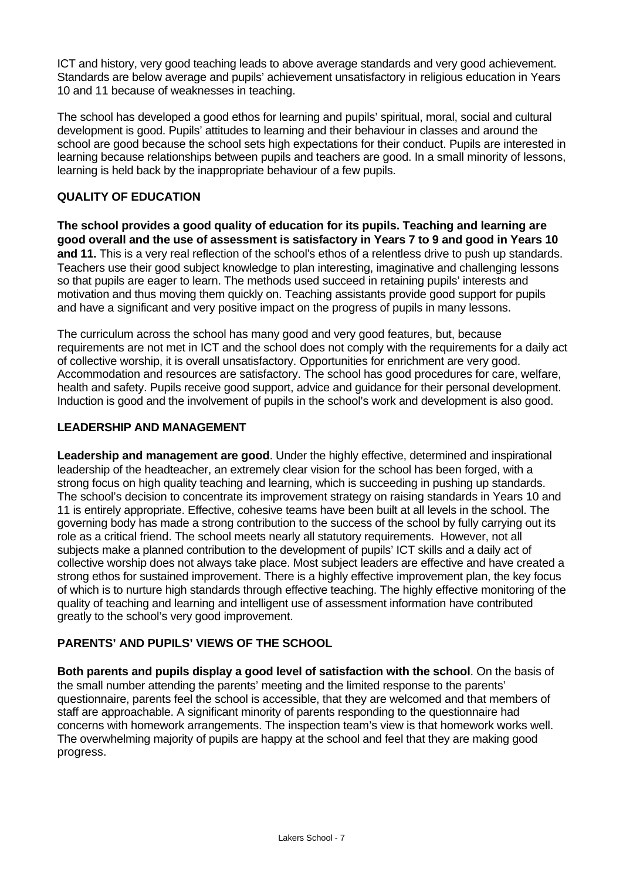ICT and history, very good teaching leads to above average standards and very good achievement. Standards are below average and pupils' achievement unsatisfactory in religious education in Years 10 and 11 because of weaknesses in teaching.

The school has developed a good ethos for learning and pupils' spiritual, moral, social and cultural development is good. Pupils' attitudes to learning and their behaviour in classes and around the school are good because the school sets high expectations for their conduct. Pupils are interested in learning because relationships between pupils and teachers are good. In a small minority of lessons, learning is held back by the inappropriate behaviour of a few pupils.

# **QUALITY OF EDUCATION**

**The school provides a good quality of education for its pupils. Teaching and learning are good overall and the use of assessment is satisfactory in Years 7 to 9 and good in Years 10 and 11.** This is a very real reflection of the school's ethos of a relentless drive to push up standards. Teachers use their good subject knowledge to plan interesting, imaginative and challenging lessons so that pupils are eager to learn. The methods used succeed in retaining pupils' interests and motivation and thus moving them quickly on. Teaching assistants provide good support for pupils and have a significant and very positive impact on the progress of pupils in many lessons.

The curriculum across the school has many good and very good features, but, because requirements are not met in ICT and the school does not comply with the requirements for a daily act of collective worship, it is overall unsatisfactory. Opportunities for enrichment are very good. Accommodation and resources are satisfactory. The school has good procedures for care, welfare, health and safety. Pupils receive good support, advice and guidance for their personal development. Induction is good and the involvement of pupils in the school's work and development is also good.

# **LEADERSHIP AND MANAGEMENT**

**Leadership and management are good**. Under the highly effective, determined and inspirational leadership of the headteacher, an extremely clear vision for the school has been forged, with a strong focus on high quality teaching and learning, which is succeeding in pushing up standards. The school's decision to concentrate its improvement strategy on raising standards in Years 10 and 11 is entirely appropriate. Effective, cohesive teams have been built at all levels in the school. The governing body has made a strong contribution to the success of the school by fully carrying out its role as a critical friend. The school meets nearly all statutory requirements. However, not all subjects make a planned contribution to the development of pupils' ICT skills and a daily act of collective worship does not always take place. Most subject leaders are effective and have created a strong ethos for sustained improvement. There is a highly effective improvement plan, the key focus of which is to nurture high standards through effective teaching. The highly effective monitoring of the quality of teaching and learning and intelligent use of assessment information have contributed greatly to the school's very good improvement.

# **PARENTS' AND PUPILS' VIEWS OF THE SCHOOL**

**Both parents and pupils display a good level of satisfaction with the school**. On the basis of the small number attending the parents' meeting and the limited response to the parents' questionnaire, parents feel the school is accessible, that they are welcomed and that members of staff are approachable. A significant minority of parents responding to the questionnaire had concerns with homework arrangements. The inspection team's view is that homework works well. The overwhelming majority of pupils are happy at the school and feel that they are making good progress.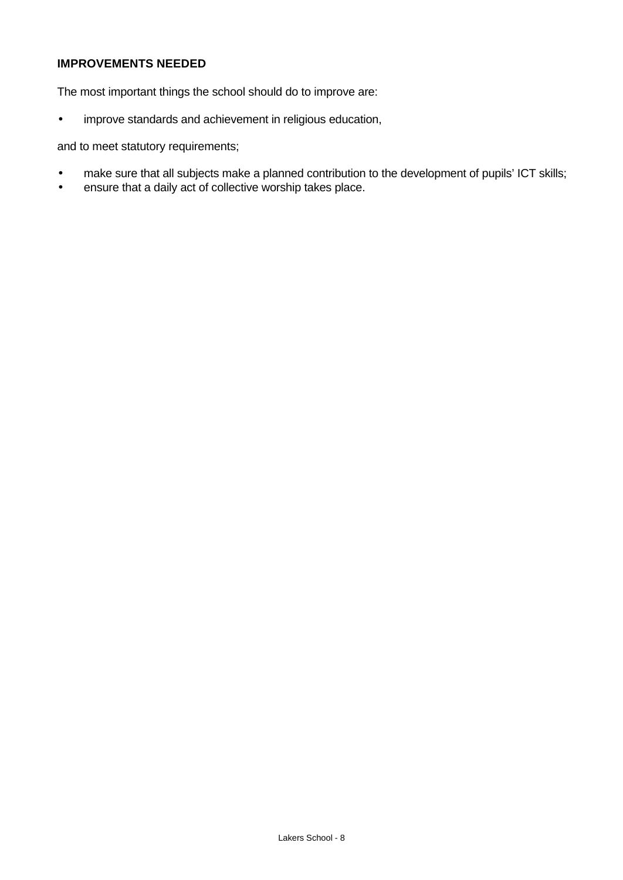# **IMPROVEMENTS NEEDED**

The most important things the school should do to improve are:

• improve standards and achievement in religious education,

and to meet statutory requirements;

- make sure that all subjects make a planned contribution to the development of pupils' ICT skills;
- ensure that a daily act of collective worship takes place.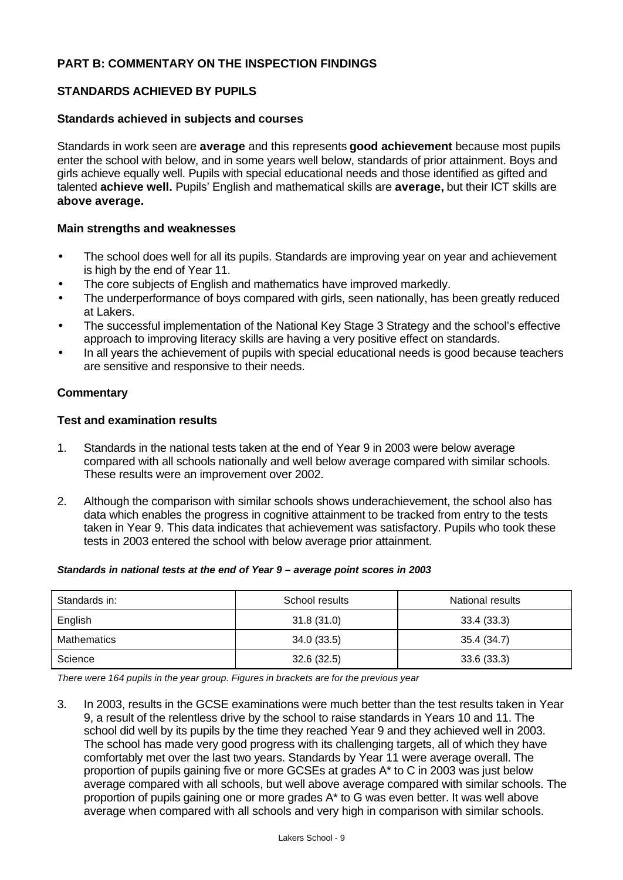# **PART B: COMMENTARY ON THE INSPECTION FINDINGS**

#### **STANDARDS ACHIEVED BY PUPILS**

#### **Standards achieved in subjects and courses**

Standards in work seen are **average** and this represents **good achievement** because most pupils enter the school with below, and in some years well below, standards of prior attainment. Boys and girls achieve equally well. Pupils with special educational needs and those identified as gifted and talented **achieve well.** Pupils' English and mathematical skills are **average,** but their ICT skills are **above average.**

#### **Main strengths and weaknesses**

- The school does well for all its pupils. Standards are improving year on year and achievement is high by the end of Year 11.
- The core subjects of English and mathematics have improved markedly.
- The underperformance of boys compared with girls, seen nationally, has been greatly reduced at Lakers.
- The successful implementation of the National Key Stage 3 Strategy and the school's effective approach to improving literacy skills are having a very positive effect on standards.
- In all years the achievement of pupils with special educational needs is good because teachers are sensitive and responsive to their needs.

#### **Commentary**

#### **Test and examination results**

- 1. Standards in the national tests taken at the end of Year 9 in 2003 were below average compared with all schools nationally and well below average compared with similar schools. These results were an improvement over 2002.
- 2. Although the comparison with similar schools shows underachievement, the school also has data which enables the progress in cognitive attainment to be tracked from entry to the tests taken in Year 9. This data indicates that achievement was satisfactory. Pupils who took these tests in 2003 entered the school with below average prior attainment.

# Standards in: School results National results National results English 31.8 (31.0) 33.4 (33.3) Mathematics 19.1 (34.0 (33.5) 35.4 (34.7) Science 32.6 (32.5) 33.6 (33.3)

#### *Standards in national tests at the end of Year 9 – average point scores in 2003*

*There were 164 pupils in the year group. Figures in brackets are for the previous year*

3. In 2003, results in the GCSE examinations were much better than the test results taken in Year 9, a result of the relentless drive by the school to raise standards in Years 10 and 11. The school did well by its pupils by the time they reached Year 9 and they achieved well in 2003. The school has made very good progress with its challenging targets, all of which they have comfortably met over the last two years. Standards by Year 11 were average overall. The proportion of pupils gaining five or more GCSEs at grades A\* to C in 2003 was just below average compared with all schools, but well above average compared with similar schools. The proportion of pupils gaining one or more grades A\* to G was even better. It was well above average when compared with all schools and very high in comparison with similar schools.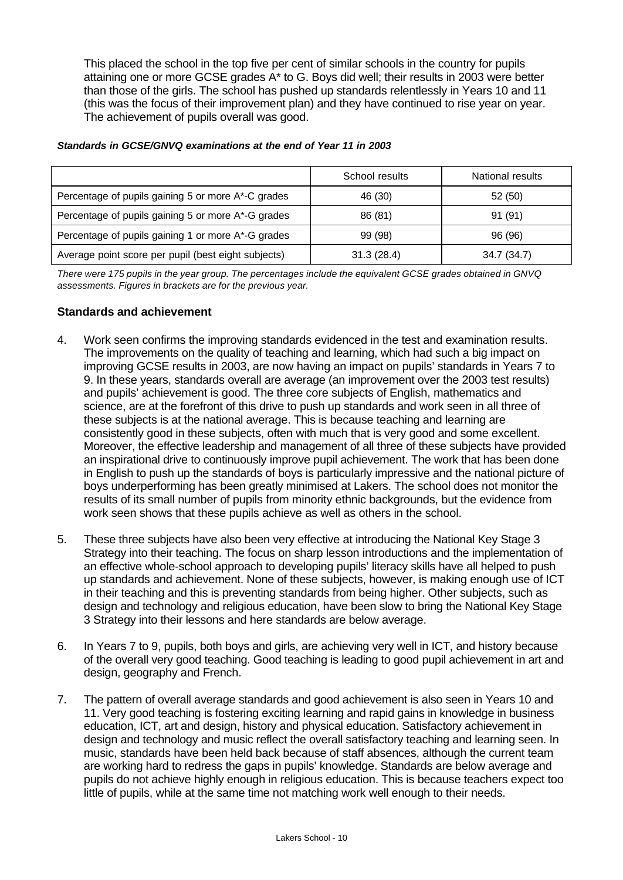This placed the school in the top five per cent of similar schools in the country for pupils attaining one or more GCSE grades A\* to G. Boys did well; their results in 2003 were better than those of the girls. The school has pushed up standards relentlessly in Years 10 and 11 (this was the focus of their improvement plan) and they have continued to rise year on year. The achievement of pupils overall was good.

|                                                     | School results | National results |
|-----------------------------------------------------|----------------|------------------|
| Percentage of pupils gaining 5 or more A*-C grades  | 46 (30)        | 52 (50)          |
| Percentage of pupils gaining 5 or more A*-G grades  | 86 (81)        | 91 (91)          |
| Percentage of pupils gaining 1 or more A*-G grades  | 99 (98)        | 96 (96)          |
| Average point score per pupil (best eight subjects) | 31.3(28.4)     | 34.7 (34.7)      |

#### *Standards in GCSE/GNVQ examinations at the end of Year 11 in 2003*

*There were 175 pupils in the year group. The percentages include the equivalent GCSE grades obtained in GNVQ assessments. Figures in brackets are for the previous year.*

# **Standards and achievement**

- 4. Work seen confirms the improving standards evidenced in the test and examination results. The improvements on the quality of teaching and learning, which had such a big impact on improving GCSE results in 2003, are now having an impact on pupils' standards in Years 7 to 9. In these years, standards overall are average (an improvement over the 2003 test results) and pupils' achievement is good. The three core subjects of English, mathematics and science, are at the forefront of this drive to push up standards and work seen in all three of these subjects is at the national average. This is because teaching and learning are consistently good in these subjects, often with much that is very good and some excellent. Moreover, the effective leadership and management of all three of these subjects have provided an inspirational drive to continuously improve pupil achievement. The work that has been done in English to push up the standards of boys is particularly impressive and the national picture of boys underperforming has been greatly minimised at Lakers. The school does not monitor the results of its small number of pupils from minority ethnic backgrounds, but the evidence from work seen shows that these pupils achieve as well as others in the school.
- 5. These three subjects have also been very effective at introducing the National Key Stage 3 Strategy into their teaching. The focus on sharp lesson introductions and the implementation of an effective whole-school approach to developing pupils' literacy skills have all helped to push up standards and achievement. None of these subjects, however, is making enough use of ICT in their teaching and this is preventing standards from being higher. Other subjects, such as design and technology and religious education, have been slow to bring the National Key Stage 3 Strategy into their lessons and here standards are below average.
- 6. In Years 7 to 9, pupils, both boys and girls, are achieving very well in ICT, and history because of the overall very good teaching. Good teaching is leading to good pupil achievement in art and design, geography and French.
- 7. The pattern of overall average standards and good achievement is also seen in Years 10 and 11. Very good teaching is fostering exciting learning and rapid gains in knowledge in business education, ICT, art and design, history and physical education. Satisfactory achievement in design and technology and music reflect the overall satisfactory teaching and learning seen. In music, standards have been held back because of staff absences, although the current team are working hard to redress the gaps in pupils' knowledge. Standards are below average and pupils do not achieve highly enough in religious education. This is because teachers expect too little of pupils, while at the same time not matching work well enough to their needs.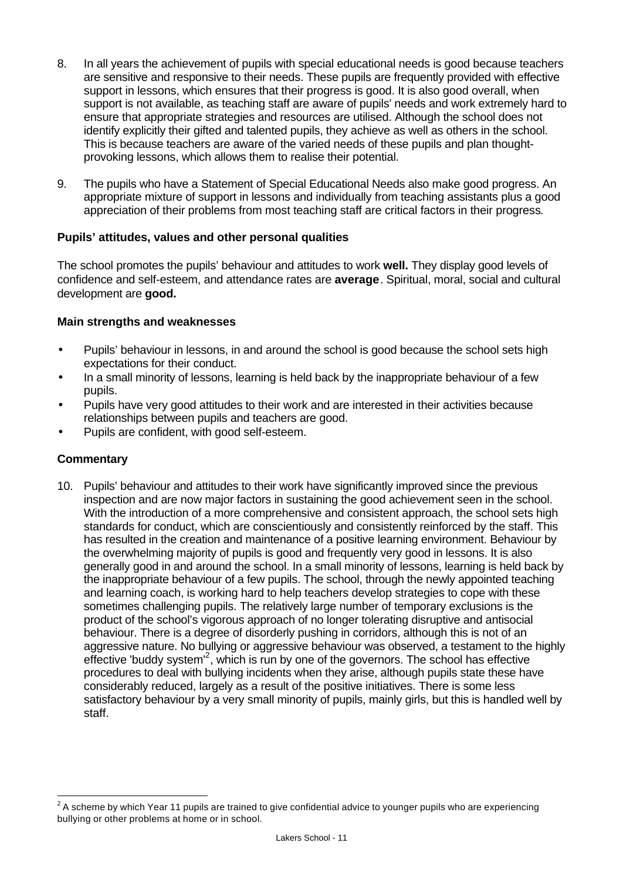- 8. In all years the achievement of pupils with special educational needs is good because teachers are sensitive and responsive to their needs. These pupils are frequently provided with effective support in lessons, which ensures that their progress is good. It is also good overall, when support is not available, as teaching staff are aware of pupils' needs and work extremely hard to ensure that appropriate strategies and resources are utilised. Although the school does not identify explicitly their gifted and talented pupils, they achieve as well as others in the school. This is because teachers are aware of the varied needs of these pupils and plan thoughtprovoking lessons, which allows them to realise their potential.
- 9. The pupils who have a Statement of Special Educational Needs also make good progress. An appropriate mixture of support in lessons and individually from teaching assistants plus a good appreciation of their problems from most teaching staff are critical factors in their progress*.*

# **Pupils' attitudes, values and other personal qualities**

The school promotes the pupils' behaviour and attitudes to work **well.** They display good levels of confidence and self-esteem, and attendance rates are **average**. Spiritual, moral, social and cultural development are **good.**

#### **Main strengths and weaknesses**

- Pupils' behaviour in lessons, in and around the school is good because the school sets high expectations for their conduct.
- In a small minority of lessons, learning is held back by the inappropriate behaviour of a few pupils.
- Pupils have very good attitudes to their work and are interested in their activities because relationships between pupils and teachers are good.
- Pupils are confident, with good self-esteem.

#### **Commentary**

10. Pupils' behaviour and attitudes to their work have significantly improved since the previous inspection and are now major factors in sustaining the good achievement seen in the school. With the introduction of a more comprehensive and consistent approach, the school sets high standards for conduct, which are conscientiously and consistently reinforced by the staff. This has resulted in the creation and maintenance of a positive learning environment. Behaviour by the overwhelming majority of pupils is good and frequently very good in lessons. It is also generally good in and around the school. In a small minority of lessons, learning is held back by the inappropriate behaviour of a few pupils. The school, through the newly appointed teaching and learning coach, is working hard to help teachers develop strategies to cope with these sometimes challenging pupils. The relatively large number of temporary exclusions is the product of the school's vigorous approach of no longer tolerating disruptive and antisocial behaviour. There is a degree of disorderly pushing in corridors, although this is not of an aggressive nature. No bullying or aggressive behaviour was observed, a testament to the highly effective 'buddy system'<sup>2</sup>, which is run by one of the governors. The school has effective procedures to deal with bullying incidents when they arise, although pupils state these have considerably reduced, largely as a result of the positive initiatives. There is some less satisfactory behaviour by a very small minority of pupils, mainly girls, but this is handled well by staff.

 2 A scheme by which Year 11 pupils are trained to give confidential advice to younger pupils who are experiencing bullying or other problems at home or in school.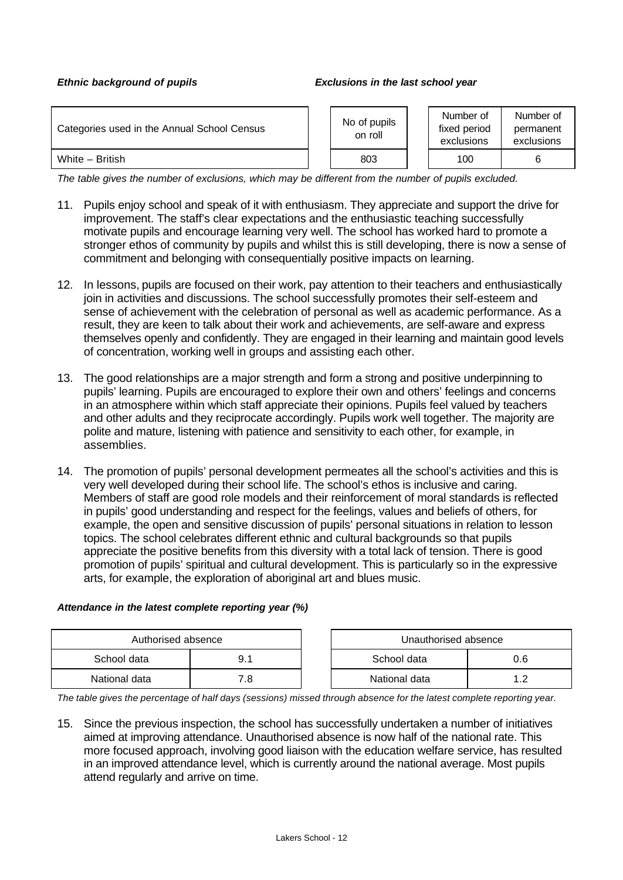#### *Ethnic background of pupils Exclusions in the last school year*

| Categories used in the Annual School Census | No of pupils<br>on roll | Number of<br>fixed period<br>exclusions | Number of<br>permanent<br>exclusions |
|---------------------------------------------|-------------------------|-----------------------------------------|--------------------------------------|
| White - British                             | 803                     | 100                                     |                                      |

*The table gives the number of exclusions, which may be different from the number of pupils excluded.*

- 11. Pupils enjoy school and speak of it with enthusiasm. They appreciate and support the drive for improvement. The staff's clear expectations and the enthusiastic teaching successfully motivate pupils and encourage learning very well. The school has worked hard to promote a stronger ethos of community by pupils and whilst this is still developing, there is now a sense of commitment and belonging with consequentially positive impacts on learning.
- 12. In lessons, pupils are focused on their work, pay attention to their teachers and enthusiastically join in activities and discussions. The school successfully promotes their self-esteem and sense of achievement with the celebration of personal as well as academic performance. As a result, they are keen to talk about their work and achievements, are self-aware and express themselves openly and confidently. They are engaged in their learning and maintain good levels of concentration, working well in groups and assisting each other.
- 13. The good relationships are a major strength and form a strong and positive underpinning to pupils' learning. Pupils are encouraged to explore their own and others' feelings and concerns in an atmosphere within which staff appreciate their opinions. Pupils feel valued by teachers and other adults and they reciprocate accordingly. Pupils work well together. The majority are polite and mature, listening with patience and sensitivity to each other, for example, in assemblies.
- 14. The promotion of pupils' personal development permeates all the school's activities and this is very well developed during their school life. The school's ethos is inclusive and caring. Members of staff are good role models and their reinforcement of moral standards is reflected in pupils' good understanding and respect for the feelings, values and beliefs of others, for example, the open and sensitive discussion of pupils' personal situations in relation to lesson topics. The school celebrates different ethnic and cultural backgrounds so that pupils appreciate the positive benefits from this diversity with a total lack of tension. There is good promotion of pupils' spiritual and cultural development. This is particularly so in the expressive arts, for example, the exploration of aboriginal art and blues music.

#### *Attendance in the latest complete reporting year (%)*

| Authorised absence |    | Unauthorised absence |     |
|--------------------|----|----------------------|-----|
| School data        |    | School data          | 0.6 |
| National data      | .8 | National data        |     |

*The table gives the percentage of half days (sessions) missed through absence for the latest complete reporting year.*

15. Since the previous inspection, the school has successfully undertaken a number of initiatives aimed at improving attendance. Unauthorised absence is now half of the national rate. This more focused approach, involving good liaison with the education welfare service, has resulted in an improved attendance level, which is currently around the national average. Most pupils attend regularly and arrive on time.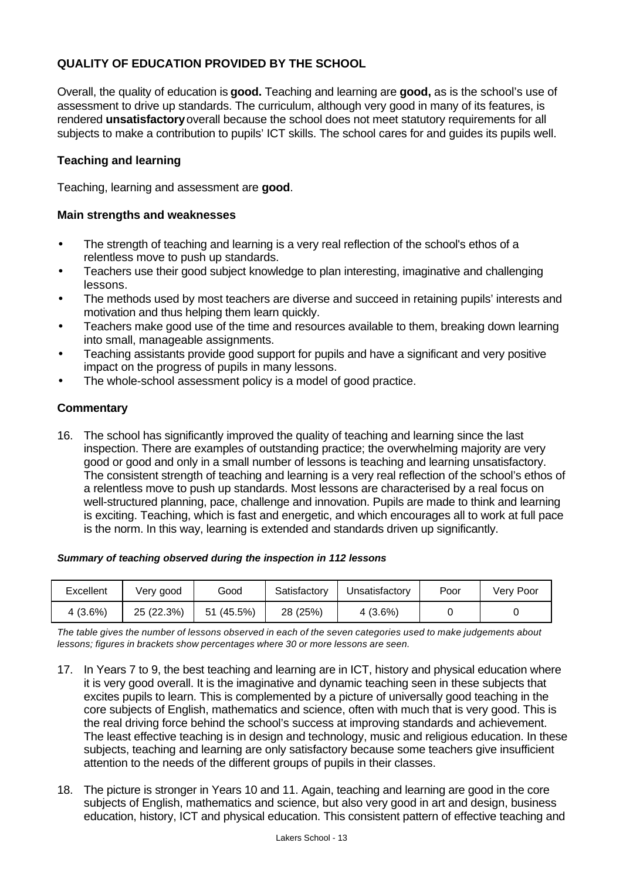# **QUALITY OF EDUCATION PROVIDED BY THE SCHOOL**

Overall, the quality of education is **good.** Teaching and learning are **good,** as is the school's use of assessment to drive up standards. The curriculum, although very good in many of its features, is rendered **unsatisfactory** overall because the school does not meet statutory requirements for all subjects to make a contribution to pupils' ICT skills. The school cares for and guides its pupils well.

# **Teaching and learning**

Teaching, learning and assessment are **good**.

#### **Main strengths and weaknesses**

- The strength of teaching and learning is a very real reflection of the school's ethos of a relentless move to push up standards.
- Teachers use their good subject knowledge to plan interesting, imaginative and challenging lessons.
- The methods used by most teachers are diverse and succeed in retaining pupils' interests and motivation and thus helping them learn quickly.
- Teachers make good use of the time and resources available to them, breaking down learning into small, manageable assignments.
- Teaching assistants provide good support for pupils and have a significant and very positive impact on the progress of pupils in many lessons.
- The whole-school assessment policy is a model of good practice.

#### **Commentary**

16. The school has significantly improved the quality of teaching and learning since the last inspection. There are examples of outstanding practice; the overwhelming majority are very good or good and only in a small number of lessons is teaching and learning unsatisfactory. The consistent strength of teaching and learning is a very real reflection of the school's ethos of a relentless move to push up standards. Most lessons are characterised by a real focus on well-structured planning, pace, challenge and innovation. Pupils are made to think and learning is exciting. Teaching, which is fast and energetic, and which encourages all to work at full pace is the norm. In this way, learning is extended and standards driven up significantly.

#### *Summary of teaching observed during the inspection in 112 lessons*

| Excellent | Very good  | Good       | Satisfactory | Unsatisfactorv | Poor | Verv Poor |
|-----------|------------|------------|--------------|----------------|------|-----------|
| 4(3.6%)   | 25 (22.3%) | 51 (45.5%) | 28 (25%)     | 4 (3.6%)       |      |           |

*The table gives the number of lessons observed in each of the seven categories used to make judgements about lessons; figures in brackets show percentages where 30 or more lessons are seen.*

- 17. In Years 7 to 9, the best teaching and learning are in ICT, history and physical education where it is very good overall. It is the imaginative and dynamic teaching seen in these subjects that excites pupils to learn. This is complemented by a picture of universally good teaching in the core subjects of English, mathematics and science, often with much that is very good. This is the real driving force behind the school's success at improving standards and achievement. The least effective teaching is in design and technology, music and religious education. In these subjects, teaching and learning are only satisfactory because some teachers give insufficient attention to the needs of the different groups of pupils in their classes.
- 18. The picture is stronger in Years 10 and 11. Again, teaching and learning are good in the core subjects of English, mathematics and science, but also very good in art and design, business education, history, ICT and physical education. This consistent pattern of effective teaching and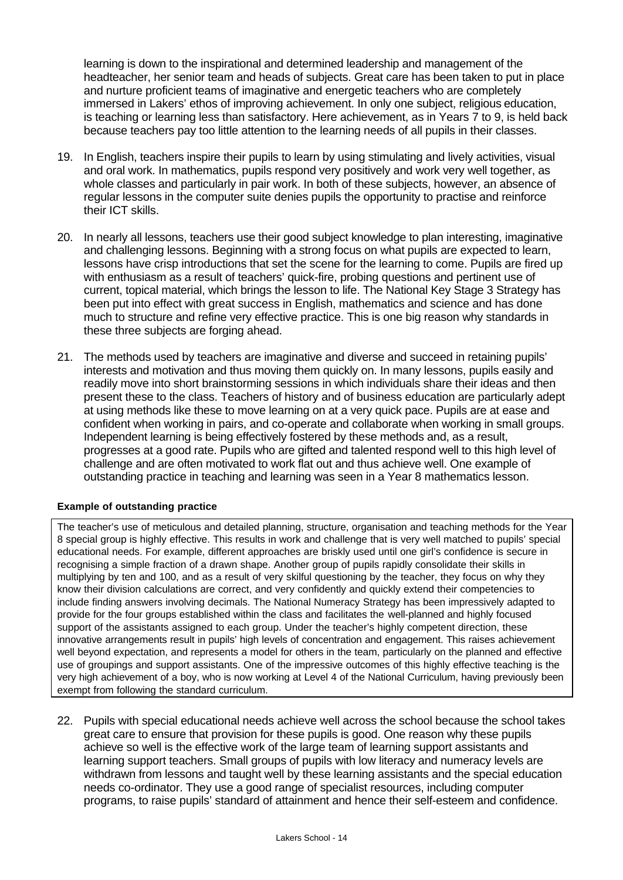learning is down to the inspirational and determined leadership and management of the headteacher, her senior team and heads of subjects. Great care has been taken to put in place and nurture proficient teams of imaginative and energetic teachers who are completely immersed in Lakers' ethos of improving achievement. In only one subject, religious education, is teaching or learning less than satisfactory. Here achievement, as in Years 7 to 9, is held back because teachers pay too little attention to the learning needs of all pupils in their classes.

- 19. In English, teachers inspire their pupils to learn by using stimulating and lively activities, visual and oral work. In mathematics, pupils respond very positively and work very well together, as whole classes and particularly in pair work. In both of these subjects, however, an absence of regular lessons in the computer suite denies pupils the opportunity to practise and reinforce their ICT skills.
- 20. In nearly all lessons, teachers use their good subject knowledge to plan interesting, imaginative and challenging lessons. Beginning with a strong focus on what pupils are expected to learn, lessons have crisp introductions that set the scene for the learning to come. Pupils are fired up with enthusiasm as a result of teachers' quick-fire, probing questions and pertinent use of current, topical material, which brings the lesson to life. The National Key Stage 3 Strategy has been put into effect with great success in English, mathematics and science and has done much to structure and refine very effective practice. This is one big reason why standards in these three subjects are forging ahead.
- 21. The methods used by teachers are imaginative and diverse and succeed in retaining pupils' interests and motivation and thus moving them quickly on. In many lessons, pupils easily and readily move into short brainstorming sessions in which individuals share their ideas and then present these to the class. Teachers of history and of business education are particularly adept at using methods like these to move learning on at a very quick pace. Pupils are at ease and confident when working in pairs, and co-operate and collaborate when working in small groups. Independent learning is being effectively fostered by these methods and, as a result, progresses at a good rate. Pupils who are gifted and talented respond well to this high level of challenge and are often motivated to work flat out and thus achieve well. One example of outstanding practice in teaching and learning was seen in a Year 8 mathematics lesson.

#### **Example of outstanding practice**

The teacher's use of meticulous and detailed planning, structure, organisation and teaching methods for the Year 8 special group is highly effective. This results in work and challenge that is very well matched to pupils' special educational needs. For example, different approaches are briskly used until one girl's confidence is secure in recognising a simple fraction of a drawn shape. Another group of pupils rapidly consolidate their skills in multiplying by ten and 100, and as a result of very skilful questioning by the teacher, they focus on why they know their division calculations are correct, and very confidently and quickly extend their competencies to include finding answers involving decimals. The National Numeracy Strategy has been impressively adapted to provide for the four groups established within the class and facilitates the well-planned and highly focused support of the assistants assigned to each group. Under the teacher's highly competent direction, these innovative arrangements result in pupils' high levels of concentration and engagement. This raises achievement well beyond expectation, and represents a model for others in the team, particularly on the planned and effective use of groupings and support assistants. One of the impressive outcomes of this highly effective teaching is the very high achievement of a boy, who is now working at Level 4 of the National Curriculum, having previously been exempt from following the standard curriculum.

22. Pupils with special educational needs achieve well across the school because the school takes great care to ensure that provision for these pupils is good. One reason why these pupils achieve so well is the effective work of the large team of learning support assistants and learning support teachers. Small groups of pupils with low literacy and numeracy levels are withdrawn from lessons and taught well by these learning assistants and the special education needs co-ordinator. They use a good range of specialist resources, including computer programs, to raise pupils' standard of attainment and hence their self-esteem and confidence.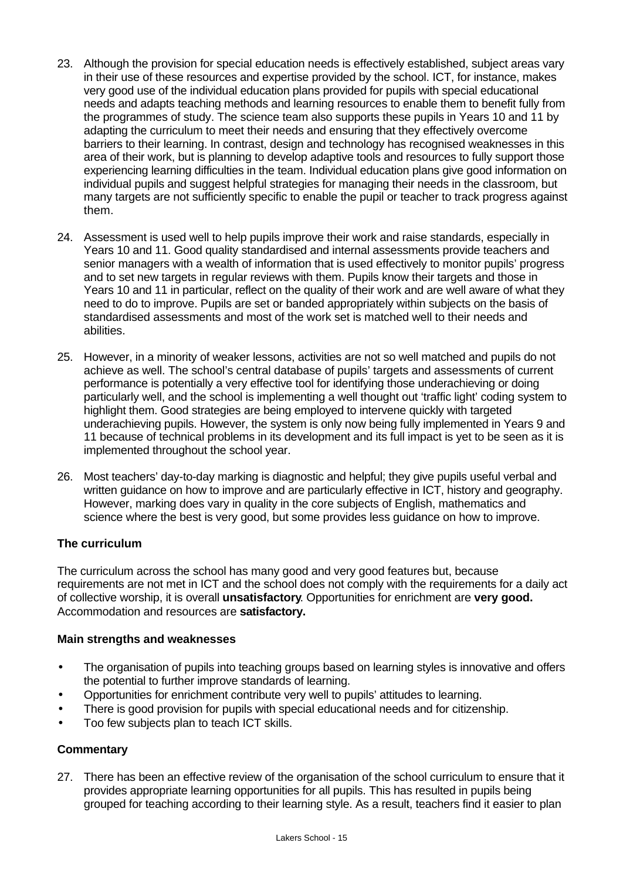- 23. Although the provision for special education needs is effectively established, subject areas vary in their use of these resources and expertise provided by the school. ICT, for instance, makes very good use of the individual education plans provided for pupils with special educational needs and adapts teaching methods and learning resources to enable them to benefit fully from the programmes of study. The science team also supports these pupils in Years 10 and 11 by adapting the curriculum to meet their needs and ensuring that they effectively overcome barriers to their learning. In contrast, design and technology has recognised weaknesses in this area of their work, but is planning to develop adaptive tools and resources to fully support those experiencing learning difficulties in the team. Individual education plans give good information on individual pupils and suggest helpful strategies for managing their needs in the classroom, but many targets are not sufficiently specific to enable the pupil or teacher to track progress against them.
- 24. Assessment is used well to help pupils improve their work and raise standards, especially in Years 10 and 11. Good quality standardised and internal assessments provide teachers and senior managers with a wealth of information that is used effectively to monitor pupils' progress and to set new targets in regular reviews with them. Pupils know their targets and those in Years 10 and 11 in particular, reflect on the quality of their work and are well aware of what they need to do to improve. Pupils are set or banded appropriately within subjects on the basis of standardised assessments and most of the work set is matched well to their needs and abilities.
- 25. However, in a minority of weaker lessons, activities are not so well matched and pupils do not achieve as well. The school's central database of pupils' targets and assessments of current performance is potentially a very effective tool for identifying those underachieving or doing particularly well, and the school is implementing a well thought out 'traffic light' coding system to highlight them. Good strategies are being employed to intervene quickly with targeted underachieving pupils. However, the system is only now being fully implemented in Years 9 and 11 because of technical problems in its development and its full impact is yet to be seen as it is implemented throughout the school year.
- 26. Most teachers' day-to-day marking is diagnostic and helpful; they give pupils useful verbal and written guidance on how to improve and are particularly effective in ICT, history and geography. However, marking does vary in quality in the core subjects of English, mathematics and science where the best is very good, but some provides less guidance on how to improve.

# **The curriculum**

The curriculum across the school has many good and very good features but, because requirements are not met in ICT and the school does not comply with the requirements for a daily act of collective worship, it is overall **unsatisfactory**. Opportunities for enrichment are **very good.** Accommodation and resources are **satisfactory.**

#### **Main strengths and weaknesses**

- The organisation of pupils into teaching groups based on learning styles is innovative and offers the potential to further improve standards of learning.
- Opportunities for enrichment contribute very well to pupils' attitudes to learning.
- There is good provision for pupils with special educational needs and for citizenship.
- Too few subjects plan to teach ICT skills.

#### **Commentary**

27. There has been an effective review of the organisation of the school curriculum to ensure that it provides appropriate learning opportunities for all pupils. This has resulted in pupils being grouped for teaching according to their learning style. As a result, teachers find it easier to plan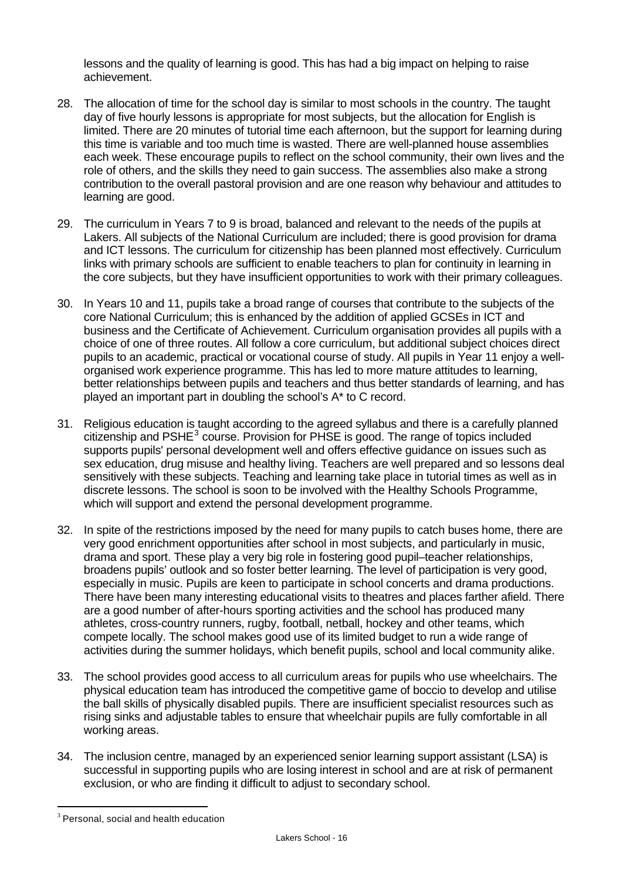lessons and the quality of learning is good. This has had a big impact on helping to raise achievement.

- 28. The allocation of time for the school day is similar to most schools in the country. The taught day of five hourly lessons is appropriate for most subjects, but the allocation for English is limited. There are 20 minutes of tutorial time each afternoon, but the support for learning during this time is variable and too much time is wasted. There are well-planned house assemblies each week. These encourage pupils to reflect on the school community, their own lives and the role of others, and the skills they need to gain success. The assemblies also make a strong contribution to the overall pastoral provision and are one reason why behaviour and attitudes to learning are good.
- 29. The curriculum in Years 7 to 9 is broad, balanced and relevant to the needs of the pupils at Lakers. All subjects of the National Curriculum are included; there is good provision for drama and ICT lessons. The curriculum for citizenship has been planned most effectively. Curriculum links with primary schools are sufficient to enable teachers to plan for continuity in learning in the core subjects, but they have insufficient opportunities to work with their primary colleagues.
- 30. In Years 10 and 11, pupils take a broad range of courses that contribute to the subjects of the core National Curriculum; this is enhanced by the addition of applied GCSEs in ICT and business and the Certificate of Achievement. Curriculum organisation provides all pupils with a choice of one of three routes. All follow a core curriculum, but additional subject choices direct pupils to an academic, practical or vocational course of study. All pupils in Year 11 enjoy a wellorganised work experience programme. This has led to more mature attitudes to learning, better relationships between pupils and teachers and thus better standards of learning, and has played an important part in doubling the school's A\* to C record.
- 31. Religious education is taught according to the agreed syllabus and there is a carefully planned citizenship and PSHE $^3$  course. Provision for PHSE is good. The range of topics included supports pupils' personal development well and offers effective guidance on issues such as sex education, drug misuse and healthy living. Teachers are well prepared and so lessons deal sensitively with these subjects. Teaching and learning take place in tutorial times as well as in discrete lessons. The school is soon to be involved with the Healthy Schools Programme, which will support and extend the personal development programme.
- 32. In spite of the restrictions imposed by the need for many pupils to catch buses home, there are very good enrichment opportunities after school in most subjects, and particularly in music, drama and sport. These play a very big role in fostering good pupil–teacher relationships, broadens pupils' outlook and so foster better learning. The level of participation is very good, especially in music. Pupils are keen to participate in school concerts and drama productions. There have been many interesting educational visits to theatres and places farther afield. There are a good number of after-hours sporting activities and the school has produced many athletes, cross-country runners, rugby, football, netball, hockey and other teams, which compete locally. The school makes good use of its limited budget to run a wide range of activities during the summer holidays, which benefit pupils, school and local community alike.
- 33. The school provides good access to all curriculum areas for pupils who use wheelchairs. The physical education team has introduced the competitive game of boccio to develop and utilise the ball skills of physically disabled pupils. There are insufficient specialist resources such as rising sinks and adjustable tables to ensure that wheelchair pupils are fully comfortable in all working areas.
- 34. The inclusion centre, managed by an experienced senior learning support assistant (LSA) is successful in supporting pupils who are losing interest in school and are at risk of permanent exclusion, or who are finding it difficult to adjust to secondary school.

l  $3$  Personal, social and health education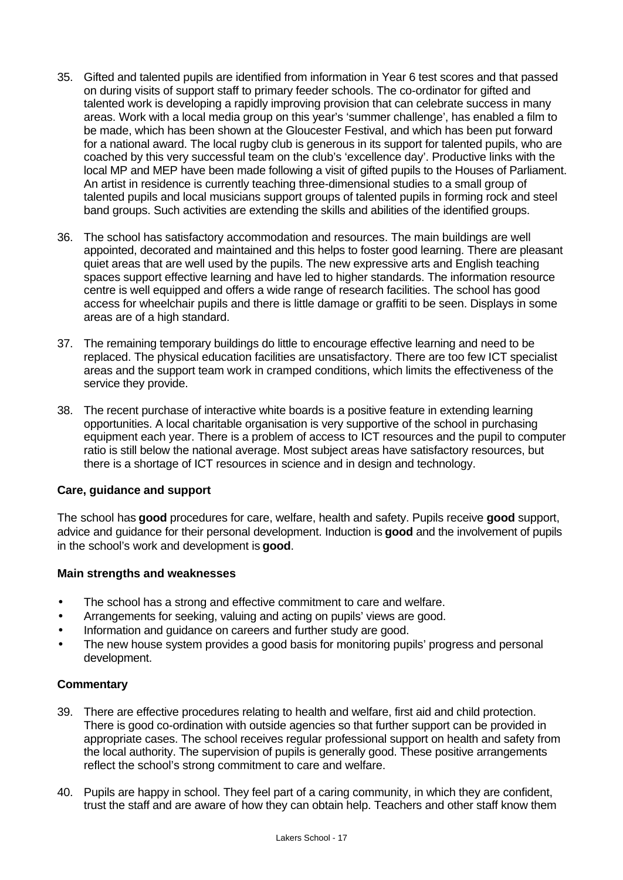- 35. Gifted and talented pupils are identified from information in Year 6 test scores and that passed on during visits of support staff to primary feeder schools. The co-ordinator for gifted and talented work is developing a rapidly improving provision that can celebrate success in many areas. Work with a local media group on this year's 'summer challenge', has enabled a film to be made, which has been shown at the Gloucester Festival, and which has been put forward for a national award. The local rugby club is generous in its support for talented pupils, who are coached by this very successful team on the club's 'excellence day'. Productive links with the local MP and MEP have been made following a visit of gifted pupils to the Houses of Parliament. An artist in residence is currently teaching three-dimensional studies to a small group of talented pupils and local musicians support groups of talented pupils in forming rock and steel band groups. Such activities are extending the skills and abilities of the identified groups.
- 36. The school has satisfactory accommodation and resources. The main buildings are well appointed, decorated and maintained and this helps to foster good learning. There are pleasant quiet areas that are well used by the pupils. The new expressive arts and English teaching spaces support effective learning and have led to higher standards. The information resource centre is well equipped and offers a wide range of research facilities. The school has good access for wheelchair pupils and there is little damage or graffiti to be seen. Displays in some areas are of a high standard.
- 37. The remaining temporary buildings do little to encourage effective learning and need to be replaced. The physical education facilities are unsatisfactory. There are too few ICT specialist areas and the support team work in cramped conditions, which limits the effectiveness of the service they provide.
- 38. The recent purchase of interactive white boards is a positive feature in extending learning opportunities. A local charitable organisation is very supportive of the school in purchasing equipment each year. There is a problem of access to ICT resources and the pupil to computer ratio is still below the national average. Most subject areas have satisfactory resources, but there is a shortage of ICT resources in science and in design and technology.

#### **Care, guidance and support**

The school has **good** procedures for care, welfare, health and safety. Pupils receive **good** support, advice and guidance for their personal development. Induction is **good** and the involvement of pupils in the school's work and development is **good**.

#### **Main strengths and weaknesses**

- The school has a strong and effective commitment to care and welfare.
- Arrangements for seeking, valuing and acting on pupils' views are good.
- Information and guidance on careers and further study are good.
- The new house system provides a good basis for monitoring pupils' progress and personal development.

#### **Commentary**

- 39. There are effective procedures relating to health and welfare, first aid and child protection. There is good co-ordination with outside agencies so that further support can be provided in appropriate cases. The school receives regular professional support on health and safety from the local authority. The supervision of pupils is generally good. These positive arrangements reflect the school's strong commitment to care and welfare.
- 40. Pupils are happy in school. They feel part of a caring community, in which they are confident, trust the staff and are aware of how they can obtain help. Teachers and other staff know them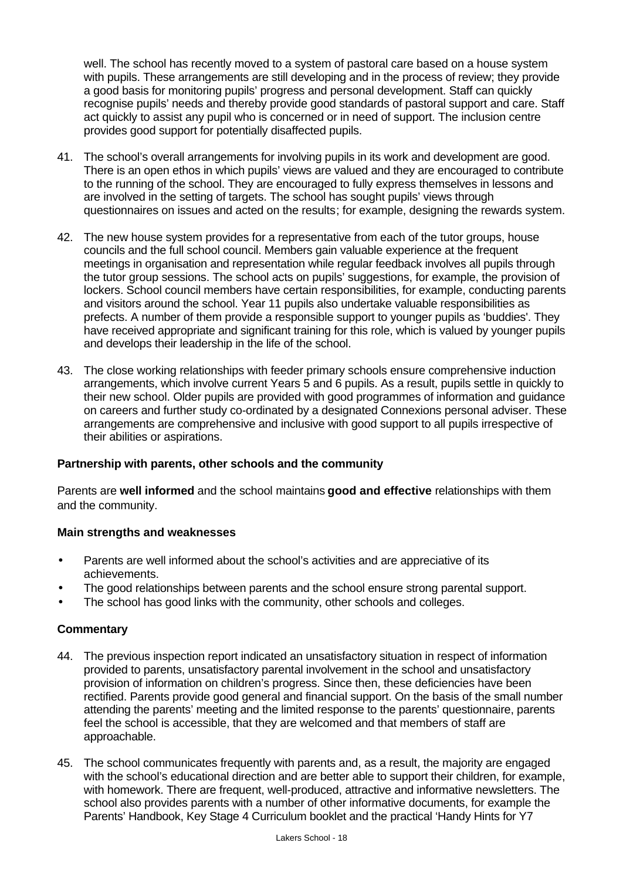well. The school has recently moved to a system of pastoral care based on a house system with pupils. These arrangements are still developing and in the process of review; they provide a good basis for monitoring pupils' progress and personal development. Staff can quickly recognise pupils' needs and thereby provide good standards of pastoral support and care. Staff act quickly to assist any pupil who is concerned or in need of support. The inclusion centre provides good support for potentially disaffected pupils.

- 41. The school's overall arrangements for involving pupils in its work and development are good. There is an open ethos in which pupils' views are valued and they are encouraged to contribute to the running of the school. They are encouraged to fully express themselves in lessons and are involved in the setting of targets. The school has sought pupils' views through questionnaires on issues and acted on the results; for example, designing the rewards system.
- 42. The new house system provides for a representative from each of the tutor groups, house councils and the full school council. Members gain valuable experience at the frequent meetings in organisation and representation while regular feedback involves all pupils through the tutor group sessions. The school acts on pupils' suggestions, for example, the provision of lockers. School council members have certain responsibilities, for example, conducting parents and visitors around the school. Year 11 pupils also undertake valuable responsibilities as prefects. A number of them provide a responsible support to younger pupils as 'buddies'. They have received appropriate and significant training for this role, which is valued by younger pupils and develops their leadership in the life of the school.
- 43. The close working relationships with feeder primary schools ensure comprehensive induction arrangements, which involve current Years 5 and 6 pupils. As a result, pupils settle in quickly to their new school. Older pupils are provided with good programmes of information and guidance on careers and further study co-ordinated by a designated Connexions personal adviser. These arrangements are comprehensive and inclusive with good support to all pupils irrespective of their abilities or aspirations.

#### **Partnership with parents, other schools and the community**

Parents are **well informed** and the school maintains **good and effective** relationships with them and the community.

#### **Main strengths and weaknesses**

- Parents are well informed about the school's activities and are appreciative of its achievements.
- The good relationships between parents and the school ensure strong parental support.
- The school has good links with the community, other schools and colleges.

#### **Commentary**

- 44. The previous inspection report indicated an unsatisfactory situation in respect of information provided to parents, unsatisfactory parental involvement in the school and unsatisfactory provision of information on children's progress. Since then, these deficiencies have been rectified. Parents provide good general and financial support. On the basis of the small number attending the parents' meeting and the limited response to the parents' questionnaire, parents feel the school is accessible, that they are welcomed and that members of staff are approachable.
- 45. The school communicates frequently with parents and, as a result, the majority are engaged with the school's educational direction and are better able to support their children, for example, with homework. There are frequent, well-produced, attractive and informative newsletters. The school also provides parents with a number of other informative documents, for example the Parents' Handbook, Key Stage 4 Curriculum booklet and the practical 'Handy Hints for Y7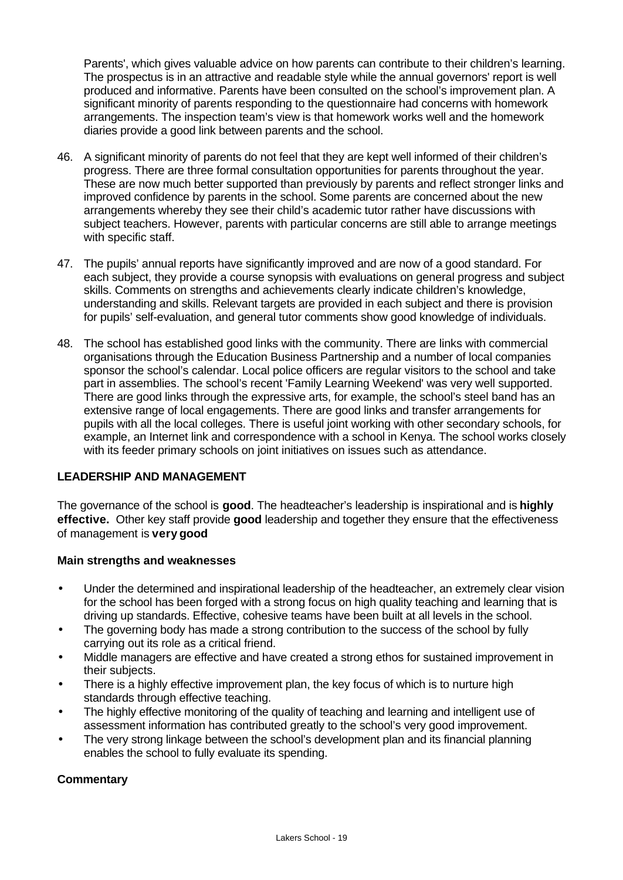Parents', which gives valuable advice on how parents can contribute to their children's learning. The prospectus is in an attractive and readable style while the annual governors' report is well produced and informative. Parents have been consulted on the school's improvement plan. A significant minority of parents responding to the questionnaire had concerns with homework arrangements. The inspection team's view is that homework works well and the homework diaries provide a good link between parents and the school.

- 46. A significant minority of parents do not feel that they are kept well informed of their children's progress. There are three formal consultation opportunities for parents throughout the year. These are now much better supported than previously by parents and reflect stronger links and improved confidence by parents in the school. Some parents are concerned about the new arrangements whereby they see their child's academic tutor rather have discussions with subject teachers. However, parents with particular concerns are still able to arrange meetings with specific staff.
- 47. The pupils' annual reports have significantly improved and are now of a good standard. For each subject, they provide a course synopsis with evaluations on general progress and subject skills. Comments on strengths and achievements clearly indicate children's knowledge, understanding and skills. Relevant targets are provided in each subject and there is provision for pupils' self-evaluation, and general tutor comments show good knowledge of individuals.
- 48. The school has established good links with the community. There are links with commercial organisations through the Education Business Partnership and a number of local companies sponsor the school's calendar. Local police officers are regular visitors to the school and take part in assemblies. The school's recent 'Family Learning Weekend' was very well supported. There are good links through the expressive arts, for example, the school's steel band has an extensive range of local engagements. There are good links and transfer arrangements for pupils with all the local colleges. There is useful joint working with other secondary schools, for example, an Internet link and correspondence with a school in Kenya. The school works closely with its feeder primary schools on joint initiatives on issues such as attendance.

# **LEADERSHIP AND MANAGEMENT**

The governance of the school is **good**. The headteacher's leadership is inspirational and is **highly effective.** Other key staff provide **good** leadership and together they ensure that the effectiveness of management is **very good**

#### **Main strengths and weaknesses**

- Under the determined and inspirational leadership of the headteacher, an extremely clear vision for the school has been forged with a strong focus on high quality teaching and learning that is driving up standards. Effective, cohesive teams have been built at all levels in the school.
- The governing body has made a strong contribution to the success of the school by fully carrying out its role as a critical friend.
- Middle managers are effective and have created a strong ethos for sustained improvement in their subjects.
- There is a highly effective improvement plan, the key focus of which is to nurture high standards through effective teaching.
- The highly effective monitoring of the quality of teaching and learning and intelligent use of assessment information has contributed greatly to the school's very good improvement.
- The very strong linkage between the school's development plan and its financial planning enables the school to fully evaluate its spending.

#### **Commentary**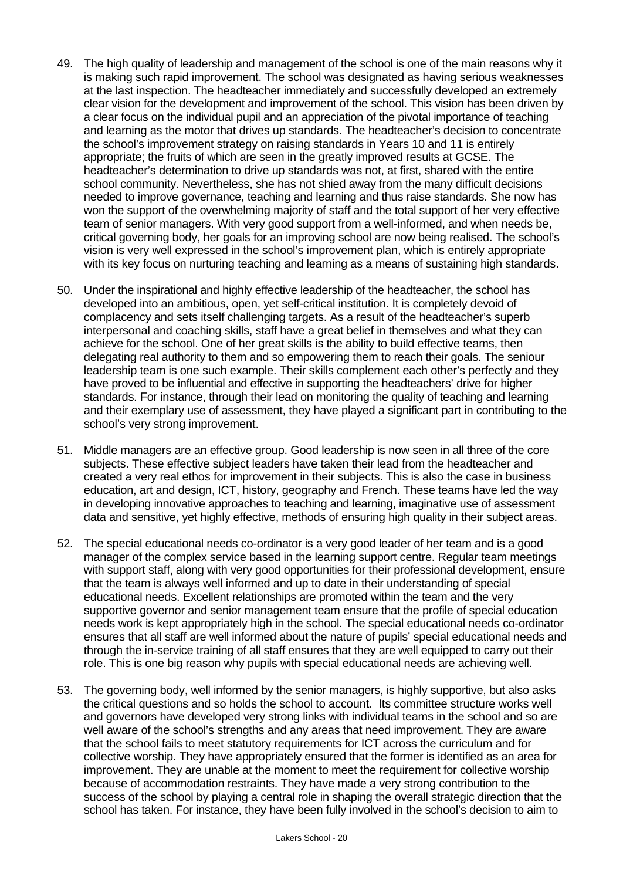- 49. The high quality of leadership and management of the school is one of the main reasons why it is making such rapid improvement. The school was designated as having serious weaknesses at the last inspection. The headteacher immediately and successfully developed an extremely clear vision for the development and improvement of the school. This vision has been driven by a clear focus on the individual pupil and an appreciation of the pivotal importance of teaching and learning as the motor that drives up standards. The headteacher's decision to concentrate the school's improvement strategy on raising standards in Years 10 and 11 is entirely appropriate; the fruits of which are seen in the greatly improved results at GCSE. The headteacher's determination to drive up standards was not, at first, shared with the entire school community. Nevertheless, she has not shied away from the many difficult decisions needed to improve governance, teaching and learning and thus raise standards. She now has won the support of the overwhelming majority of staff and the total support of her very effective team of senior managers. With very good support from a well-informed, and when needs be, critical governing body, her goals for an improving school are now being realised. The school's vision is very well expressed in the school's improvement plan, which is entirely appropriate with its key focus on nurturing teaching and learning as a means of sustaining high standards.
- 50. Under the inspirational and highly effective leadership of the headteacher, the school has developed into an ambitious, open, yet self-critical institution. It is completely devoid of complacency and sets itself challenging targets. As a result of the headteacher's superb interpersonal and coaching skills, staff have a great belief in themselves and what they can achieve for the school. One of her great skills is the ability to build effective teams, then delegating real authority to them and so empowering them to reach their goals. The seniour leadership team is one such example. Their skills complement each other's perfectly and they have proved to be influential and effective in supporting the headteachers' drive for higher standards. For instance, through their lead on monitoring the quality of teaching and learning and their exemplary use of assessment, they have played a significant part in contributing to the school's very strong improvement.
- 51. Middle managers are an effective group. Good leadership is now seen in all three of the core subjects. These effective subject leaders have taken their lead from the headteacher and created a very real ethos for improvement in their subjects. This is also the case in business education, art and design, ICT, history, geography and French. These teams have led the way in developing innovative approaches to teaching and learning, imaginative use of assessment data and sensitive, yet highly effective, methods of ensuring high quality in their subject areas.
- 52. The special educational needs co-ordinator is a very good leader of her team and is a good manager of the complex service based in the learning support centre. Regular team meetings with support staff, along with very good opportunities for their professional development, ensure that the team is always well informed and up to date in their understanding of special educational needs. Excellent relationships are promoted within the team and the very supportive governor and senior management team ensure that the profile of special education needs work is kept appropriately high in the school. The special educational needs co-ordinator ensures that all staff are well informed about the nature of pupils' special educational needs and through the in-service training of all staff ensures that they are well equipped to carry out their role. This is one big reason why pupils with special educational needs are achieving well.
- 53. The governing body, well informed by the senior managers, is highly supportive, but also asks the critical questions and so holds the school to account. Its committee structure works well and governors have developed very strong links with individual teams in the school and so are well aware of the school's strengths and any areas that need improvement. They are aware that the school fails to meet statutory requirements for ICT across the curriculum and for collective worship. They have appropriately ensured that the former is identified as an area for improvement. They are unable at the moment to meet the requirement for collective worship because of accommodation restraints. They have made a very strong contribution to the success of the school by playing a central role in shaping the overall strategic direction that the school has taken. For instance, they have been fully involved in the school's decision to aim to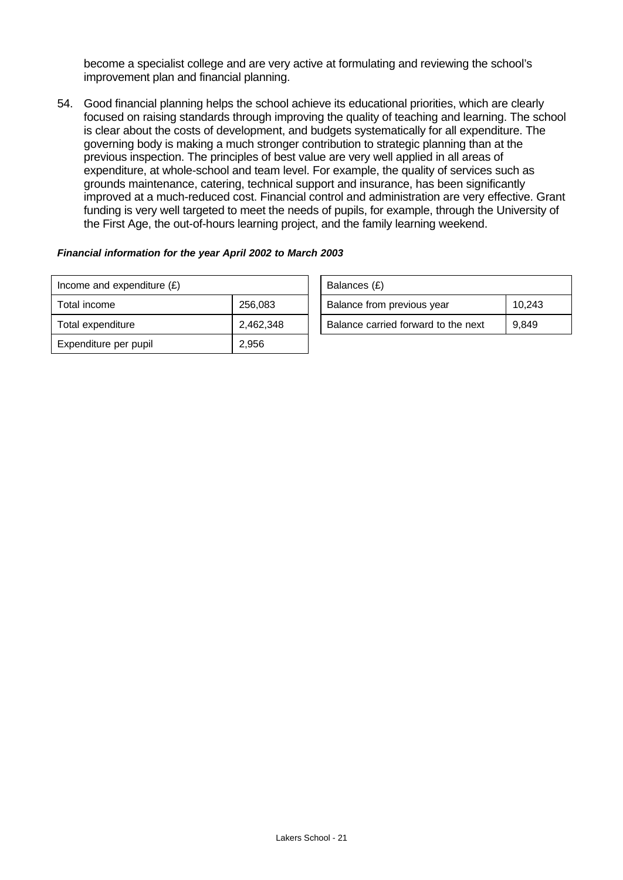become a specialist college and are very active at formulating and reviewing the school's improvement plan and financial planning.

54. Good financial planning helps the school achieve its educational priorities, which are clearly focused on raising standards through improving the quality of teaching and learning. The school is clear about the costs of development, and budgets systematically for all expenditure. The governing body is making a much stronger contribution to strategic planning than at the previous inspection. The principles of best value are very well applied in all areas of expenditure, at whole-school and team level. For example, the quality of services such as grounds maintenance, catering, technical support and insurance, has been significantly improved at a much-reduced cost. Financial control and administration are very effective. Grant funding is very well targeted to meet the needs of pupils, for example, through the University of the First Age, the out-of-hours learning project, and the family learning weekend.

#### *Financial information for the year April 2002 to March 2003*

| Income and expenditure $(E)$ |           | Balances (£)                        |        |
|------------------------------|-----------|-------------------------------------|--------|
| Total income                 | 256,083   | Balance from previous year          | 10.243 |
| Total expenditure            | 2,462,348 | Balance carried forward to the next | 9,849  |
| Expenditure per pupil        | 2,956     |                                     |        |

| Balances (£)                        |        |
|-------------------------------------|--------|
| Balance from previous year          | 10.243 |
| Balance carried forward to the next | 9.849  |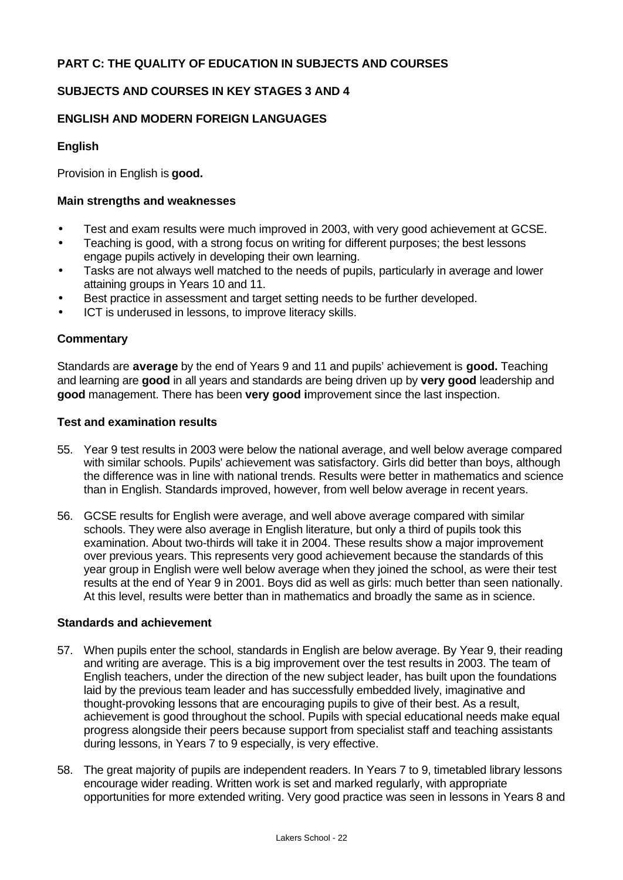# **PART C: THE QUALITY OF EDUCATION IN SUBJECTS AND COURSES**

# **SUBJECTS AND COURSES IN KEY STAGES 3 AND 4**

#### **ENGLISH AND MODERN FOREIGN LANGUAGES**

#### **English**

Provision in English is **good.**

#### **Main strengths and weaknesses**

- Test and exam results were much improved in 2003, with very good achievement at GCSE.
- Teaching is good, with a strong focus on writing for different purposes; the best lessons engage pupils actively in developing their own learning.
- Tasks are not always well matched to the needs of pupils, particularly in average and lower attaining groups in Years 10 and 11.
- Best practice in assessment and target setting needs to be further developed.
- ICT is underused in lessons, to improve literacy skills.

#### **Commentary**

Standards are **average** by the end of Years 9 and 11 and pupils' achievement is **good.** Teaching and learning are **good** in all years and standards are being driven up by **very good** leadership and **good** management. There has been **very good i**mprovement since the last inspection.

#### **Test and examination results**

- 55. Year 9 test results in 2003 were below the national average, and well below average compared with similar schools. Pupils' achievement was satisfactory. Girls did better than boys, although the difference was in line with national trends. Results were better in mathematics and science than in English. Standards improved, however, from well below average in recent years.
- 56. GCSE results for English were average, and well above average compared with similar schools. They were also average in English literature, but only a third of pupils took this examination. About two-thirds will take it in 2004. These results show a major improvement over previous years. This represents very good achievement because the standards of this year group in English were well below average when they joined the school, as were their test results at the end of Year 9 in 2001. Boys did as well as girls: much better than seen nationally. At this level, results were better than in mathematics and broadly the same as in science.

#### **Standards and achievement**

- 57. When pupils enter the school, standards in English are below average. By Year 9, their reading and writing are average. This is a big improvement over the test results in 2003. The team of English teachers, under the direction of the new subject leader, has built upon the foundations laid by the previous team leader and has successfully embedded lively, imaginative and thought-provoking lessons that are encouraging pupils to give of their best. As a result, achievement is good throughout the school. Pupils with special educational needs make equal progress alongside their peers because support from specialist staff and teaching assistants during lessons, in Years 7 to 9 especially, is very effective.
- 58. The great majority of pupils are independent readers. In Years 7 to 9, timetabled library lessons encourage wider reading. Written work is set and marked regularly, with appropriate opportunities for more extended writing. Very good practice was seen in lessons in Years 8 and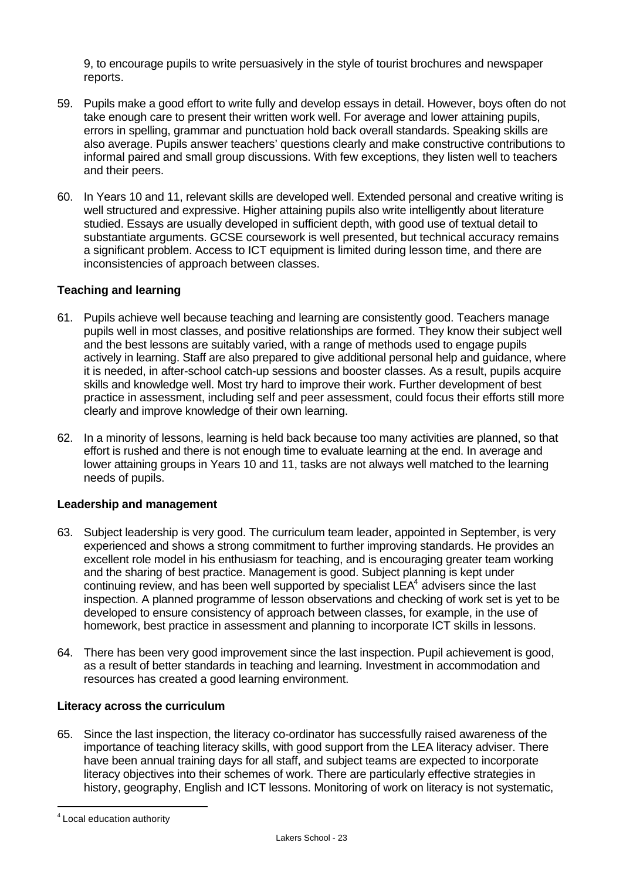9, to encourage pupils to write persuasively in the style of tourist brochures and newspaper reports.

- 59. Pupils make a good effort to write fully and develop essays in detail. However, boys often do not take enough care to present their written work well. For average and lower attaining pupils, errors in spelling, grammar and punctuation hold back overall standards. Speaking skills are also average. Pupils answer teachers' questions clearly and make constructive contributions to informal paired and small group discussions. With few exceptions, they listen well to teachers and their peers.
- 60. In Years 10 and 11, relevant skills are developed well. Extended personal and creative writing is well structured and expressive. Higher attaining pupils also write intelligently about literature studied. Essays are usually developed in sufficient depth, with good use of textual detail to substantiate arguments. GCSE coursework is well presented, but technical accuracy remains a significant problem. Access to ICT equipment is limited during lesson time, and there are inconsistencies of approach between classes.

# **Teaching and learning**

- 61. Pupils achieve well because teaching and learning are consistently good. Teachers manage pupils well in most classes, and positive relationships are formed. They know their subject well and the best lessons are suitably varied, with a range of methods used to engage pupils actively in learning. Staff are also prepared to give additional personal help and guidance, where it is needed, in after-school catch-up sessions and booster classes. As a result, pupils acquire skills and knowledge well. Most try hard to improve their work. Further development of best practice in assessment, including self and peer assessment, could focus their efforts still more clearly and improve knowledge of their own learning.
- 62. In a minority of lessons, learning is held back because too many activities are planned, so that effort is rushed and there is not enough time to evaluate learning at the end. In average and lower attaining groups in Years 10 and 11, tasks are not always well matched to the learning needs of pupils.

#### **Leadership and management**

- 63. Subject leadership is very good. The curriculum team leader, appointed in September, is very experienced and shows a strong commitment to further improving standards. He provides an excellent role model in his enthusiasm for teaching, and is encouraging greater team working and the sharing of best practice. Management is good. Subject planning is kept under continuing review, and has been well supported by specialist  $LEA<sup>4</sup>$  advisers since the last inspection. A planned programme of lesson observations and checking of work set is yet to be developed to ensure consistency of approach between classes, for example, in the use of homework, best practice in assessment and planning to incorporate ICT skills in lessons.
- 64. There has been very good improvement since the last inspection. Pupil achievement is good, as a result of better standards in teaching and learning. Investment in accommodation and resources has created a good learning environment.

#### **Literacy across the curriculum**

65. Since the last inspection, the literacy co-ordinator has successfully raised awareness of the importance of teaching literacy skills, with good support from the LEA literacy adviser. There have been annual training days for all staff, and subject teams are expected to incorporate literacy objectives into their schemes of work. There are particularly effective strategies in history, geography, English and ICT lessons. Monitoring of work on literacy is not systematic,

l

 $4$  Local education authority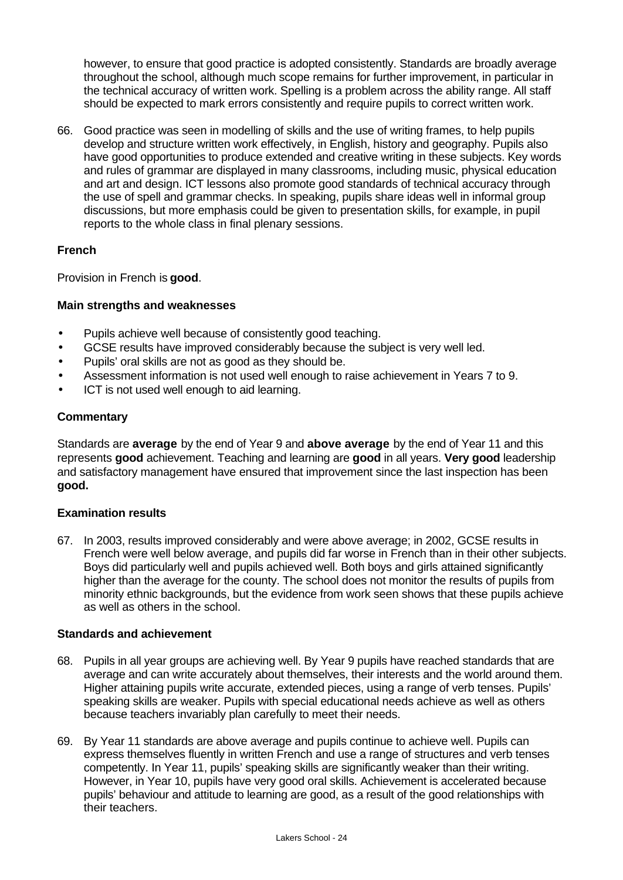however, to ensure that good practice is adopted consistently. Standards are broadly average throughout the school, although much scope remains for further improvement, in particular in the technical accuracy of written work. Spelling is a problem across the ability range. All staff should be expected to mark errors consistently and require pupils to correct written work.

66. Good practice was seen in modelling of skills and the use of writing frames, to help pupils develop and structure written work effectively, in English, history and geography. Pupils also have good opportunities to produce extended and creative writing in these subjects. Key words and rules of grammar are displayed in many classrooms, including music, physical education and art and design. ICT lessons also promote good standards of technical accuracy through the use of spell and grammar checks. In speaking, pupils share ideas well in informal group discussions, but more emphasis could be given to presentation skills, for example, in pupil reports to the whole class in final plenary sessions.

# **French**

Provision in French is **good**.

# **Main strengths and weaknesses**

- Pupils achieve well because of consistently good teaching.
- GCSE results have improved considerably because the subject is very well led.
- Pupils' oral skills are not as good as they should be.
- Assessment information is not used well enough to raise achievement in Years 7 to 9.
- ICT is not used well enough to aid learning.

#### **Commentary**

Standards are **average** by the end of Year 9 and **above average** by the end of Year 11 and this represents **good** achievement. Teaching and learning are **good** in all years. **Very good** leadership and satisfactory management have ensured that improvement since the last inspection has been **good.**

#### **Examination results**

67. In 2003, results improved considerably and were above average; in 2002, GCSE results in French were well below average, and pupils did far worse in French than in their other subjects. Boys did particularly well and pupils achieved well. Both boys and girls attained significantly higher than the average for the county. The school does not monitor the results of pupils from minority ethnic backgrounds, but the evidence from work seen shows that these pupils achieve as well as others in the school.

#### **Standards and achievement**

- 68. Pupils in all year groups are achieving well. By Year 9 pupils have reached standards that are average and can write accurately about themselves, their interests and the world around them. Higher attaining pupils write accurate, extended pieces, using a range of verb tenses. Pupils' speaking skills are weaker. Pupils with special educational needs achieve as well as others because teachers invariably plan carefully to meet their needs.
- 69. By Year 11 standards are above average and pupils continue to achieve well. Pupils can express themselves fluently in written French and use a range of structures and verb tenses competently. In Year 11, pupils' speaking skills are significantly weaker than their writing. However, in Year 10, pupils have very good oral skills. Achievement is accelerated because pupils' behaviour and attitude to learning are good, as a result of the good relationships with their teachers.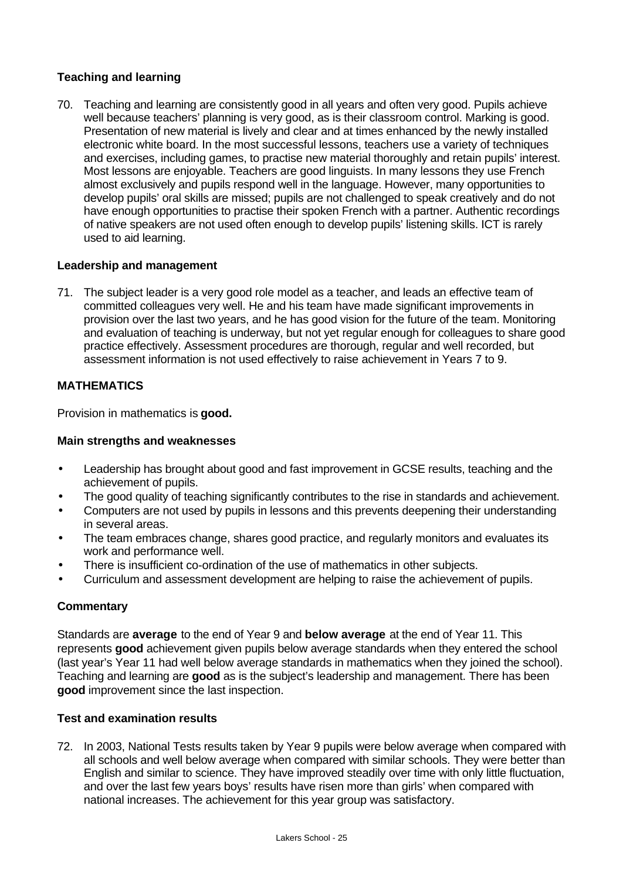# **Teaching and learning**

70. Teaching and learning are consistently good in all years and often very good. Pupils achieve well because teachers' planning is very good, as is their classroom control. Marking is good. Presentation of new material is lively and clear and at times enhanced by the newly installed electronic white board. In the most successful lessons, teachers use a variety of techniques and exercises, including games, to practise new material thoroughly and retain pupils' interest. Most lessons are enjoyable. Teachers are good linguists. In many lessons they use French almost exclusively and pupils respond well in the language. However, many opportunities to develop pupils' oral skills are missed; pupils are not challenged to speak creatively and do not have enough opportunities to practise their spoken French with a partner. Authentic recordings of native speakers are not used often enough to develop pupils' listening skills. ICT is rarely used to aid learning.

# **Leadership and management**

71. The subject leader is a very good role model as a teacher, and leads an effective team of committed colleagues very well. He and his team have made significant improvements in provision over the last two years, and he has good vision for the future of the team. Monitoring and evaluation of teaching is underway, but not yet regular enough for colleagues to share good practice effectively. Assessment procedures are thorough, regular and well recorded, but assessment information is not used effectively to raise achievement in Years 7 to 9.

# **MATHEMATICS**

Provision in mathematics is **good.**

#### **Main strengths and weaknesses**

- Leadership has brought about good and fast improvement in GCSE results, teaching and the achievement of pupils.
- The good quality of teaching significantly contributes to the rise in standards and achievement.
- Computers are not used by pupils in lessons and this prevents deepening their understanding in several areas.
- The team embraces change, shares good practice, and regularly monitors and evaluates its work and performance well.
- There is insufficient co-ordination of the use of mathematics in other subjects.
- Curriculum and assessment development are helping to raise the achievement of pupils.

#### **Commentary**

Standards are **average** to the end of Year 9 and **below average** at the end of Year 11. This represents **good** achievement given pupils below average standards when they entered the school (last year's Year 11 had well below average standards in mathematics when they joined the school). Teaching and learning are **good** as is the subject's leadership and management. There has been **good** improvement since the last inspection.

#### **Test and examination results**

72. In 2003, National Tests results taken by Year 9 pupils were below average when compared with all schools and well below average when compared with similar schools. They were better than English and similar to science. They have improved steadily over time with only little fluctuation, and over the last few years boys' results have risen more than girls' when compared with national increases. The achievement for this year group was satisfactory.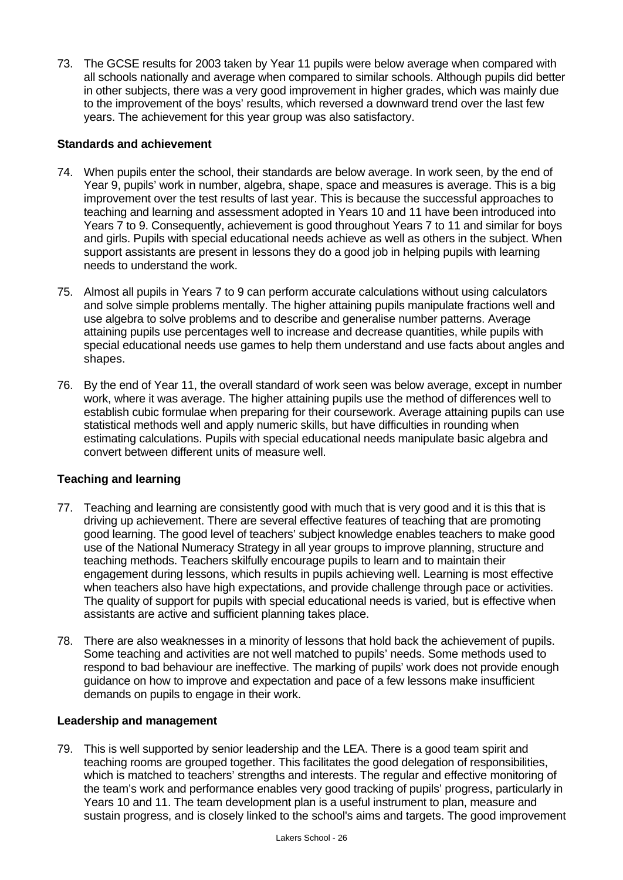73. The GCSE results for 2003 taken by Year 11 pupils were below average when compared with all schools nationally and average when compared to similar schools. Although pupils did better in other subjects, there was a very good improvement in higher grades, which was mainly due to the improvement of the boys' results, which reversed a downward trend over the last few years. The achievement for this year group was also satisfactory.

#### **Standards and achievement**

- 74. When pupils enter the school, their standards are below average. In work seen, by the end of Year 9, pupils' work in number, algebra, shape, space and measures is average. This is a big improvement over the test results of last year. This is because the successful approaches to teaching and learning and assessment adopted in Years 10 and 11 have been introduced into Years 7 to 9. Consequently, achievement is good throughout Years 7 to 11 and similar for boys and girls. Pupils with special educational needs achieve as well as others in the subject. When support assistants are present in lessons they do a good job in helping pupils with learning needs to understand the work.
- 75. Almost all pupils in Years 7 to 9 can perform accurate calculations without using calculators and solve simple problems mentally. The higher attaining pupils manipulate fractions well and use algebra to solve problems and to describe and generalise number patterns. Average attaining pupils use percentages well to increase and decrease quantities, while pupils with special educational needs use games to help them understand and use facts about angles and shapes.
- 76. By the end of Year 11, the overall standard of work seen was below average, except in number work, where it was average. The higher attaining pupils use the method of differences well to establish cubic formulae when preparing for their coursework. Average attaining pupils can use statistical methods well and apply numeric skills, but have difficulties in rounding when estimating calculations. Pupils with special educational needs manipulate basic algebra and convert between different units of measure well.

# **Teaching and learning**

- 77. Teaching and learning are consistently good with much that is very good and it is this that is driving up achievement. There are several effective features of teaching that are promoting good learning. The good level of teachers' subject knowledge enables teachers to make good use of the National Numeracy Strategy in all year groups to improve planning, structure and teaching methods. Teachers skilfully encourage pupils to learn and to maintain their engagement during lessons, which results in pupils achieving well. Learning is most effective when teachers also have high expectations, and provide challenge through pace or activities. The quality of support for pupils with special educational needs is varied, but is effective when assistants are active and sufficient planning takes place.
- 78. There are also weaknesses in a minority of lessons that hold back the achievement of pupils. Some teaching and activities are not well matched to pupils' needs. Some methods used to respond to bad behaviour are ineffective. The marking of pupils' work does not provide enough guidance on how to improve and expectation and pace of a few lessons make insufficient demands on pupils to engage in their work.

#### **Leadership and management**

79. This is well supported by senior leadership and the LEA. There is a good team spirit and teaching rooms are grouped together. This facilitates the good delegation of responsibilities, which is matched to teachers' strengths and interests. The regular and effective monitoring of the team's work and performance enables very good tracking of pupils' progress, particularly in Years 10 and 11. The team development plan is a useful instrument to plan, measure and sustain progress, and is closely linked to the school's aims and targets. The good improvement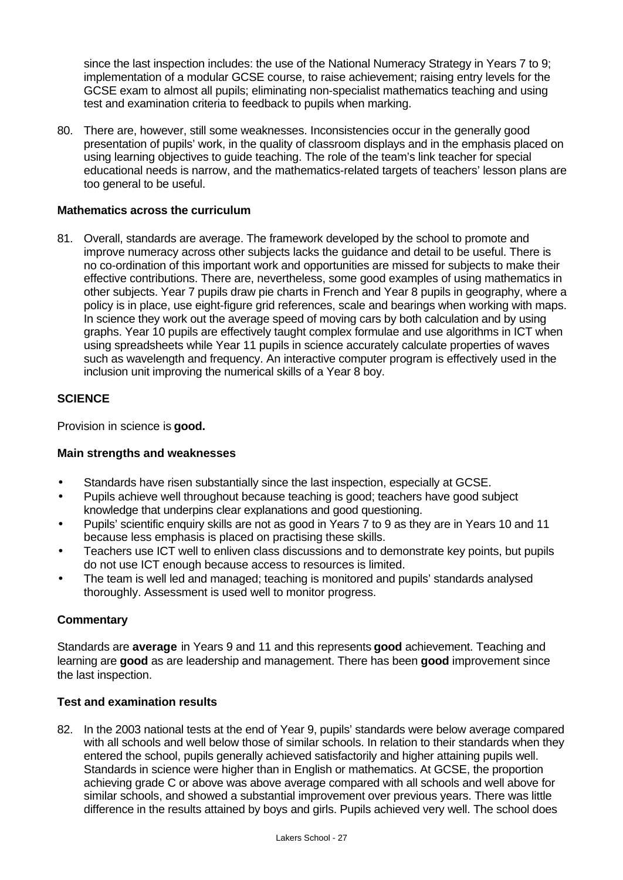since the last inspection includes: the use of the National Numeracy Strategy in Years 7 to 9; implementation of a modular GCSE course, to raise achievement; raising entry levels for the GCSE exam to almost all pupils; eliminating non-specialist mathematics teaching and using test and examination criteria to feedback to pupils when marking.

80. There are, however, still some weaknesses. Inconsistencies occur in the generally good presentation of pupils' work, in the quality of classroom displays and in the emphasis placed on using learning objectives to guide teaching. The role of the team's link teacher for special educational needs is narrow, and the mathematics-related targets of teachers' lesson plans are too general to be useful.

#### **Mathematics across the curriculum**

81. Overall, standards are average. The framework developed by the school to promote and improve numeracy across other subjects lacks the guidance and detail to be useful. There is no co-ordination of this important work and opportunities are missed for subjects to make their effective contributions. There are, nevertheless, some good examples of using mathematics in other subjects. Year 7 pupils draw pie charts in French and Year 8 pupils in geography, where a policy is in place, use eight-figure grid references, scale and bearings when working with maps. In science they work out the average speed of moving cars by both calculation and by using graphs. Year 10 pupils are effectively taught complex formulae and use algorithms in ICT when using spreadsheets while Year 11 pupils in science accurately calculate properties of waves such as wavelength and frequency. An interactive computer program is effectively used in the inclusion unit improving the numerical skills of a Year 8 boy.

# **SCIENCE**

Provision in science is **good.**

#### **Main strengths and weaknesses**

- Standards have risen substantially since the last inspection, especially at GCSE.
- Pupils achieve well throughout because teaching is good; teachers have good subject knowledge that underpins clear explanations and good questioning.
- Pupils' scientific enquiry skills are not as good in Years 7 to 9 as they are in Years 10 and 11 because less emphasis is placed on practising these skills.
- Teachers use ICT well to enliven class discussions and to demonstrate key points, but pupils do not use ICT enough because access to resources is limited.
- The team is well led and managed; teaching is monitored and pupils' standards analysed thoroughly. Assessment is used well to monitor progress.

#### **Commentary**

Standards are **average** in Years 9 and 11 and this represents **good** achievement. Teaching and learning are **good** as are leadership and management. There has been **good** improvement since the last inspection.

#### **Test and examination results**

82. In the 2003 national tests at the end of Year 9, pupils' standards were below average compared with all schools and well below those of similar schools. In relation to their standards when they entered the school, pupils generally achieved satisfactorily and higher attaining pupils well. Standards in science were higher than in English or mathematics. At GCSE, the proportion achieving grade C or above was above average compared with all schools and well above for similar schools, and showed a substantial improvement over previous years. There was little difference in the results attained by boys and girls. Pupils achieved very well. The school does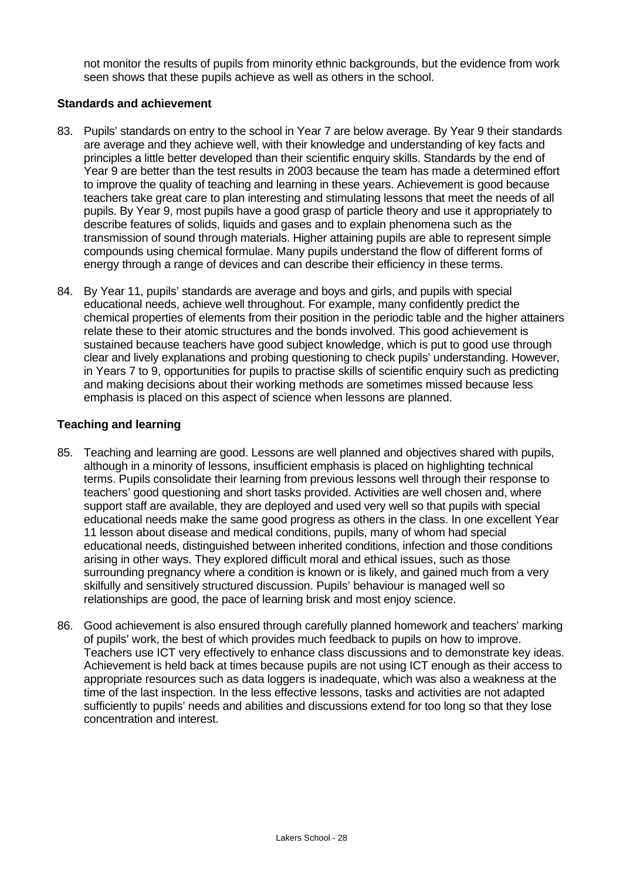not monitor the results of pupils from minority ethnic backgrounds, but the evidence from work seen shows that these pupils achieve as well as others in the school.

#### **Standards and achievement**

- 83. Pupils' standards on entry to the school in Year 7 are below average. By Year 9 their standards are average and they achieve well, with their knowledge and understanding of key facts and principles a little better developed than their scientific enquiry skills. Standards by the end of Year 9 are better than the test results in 2003 because the team has made a determined effort to improve the quality of teaching and learning in these years. Achievement is good because teachers take great care to plan interesting and stimulating lessons that meet the needs of all pupils. By Year 9, most pupils have a good grasp of particle theory and use it appropriately to describe features of solids, liquids and gases and to explain phenomena such as the transmission of sound through materials. Higher attaining pupils are able to represent simple compounds using chemical formulae. Many pupils understand the flow of different forms of energy through a range of devices and can describe their efficiency in these terms.
- 84. By Year 11, pupils' standards are average and boys and girls, and pupils with special educational needs, achieve well throughout. For example, many confidently predict the chemical properties of elements from their position in the periodic table and the higher attainers relate these to their atomic structures and the bonds involved. This good achievement is sustained because teachers have good subject knowledge, which is put to good use through clear and lively explanations and probing questioning to check pupils' understanding. However, in Years 7 to 9, opportunities for pupils to practise skills of scientific enquiry such as predicting and making decisions about their working methods are sometimes missed because less emphasis is placed on this aspect of science when lessons are planned.

# **Teaching and learning**

- 85. Teaching and learning are good. Lessons are well planned and objectives shared with pupils, although in a minority of lessons, insufficient emphasis is placed on highlighting technical terms. Pupils consolidate their learning from previous lessons well through their response to teachers' good questioning and short tasks provided. Activities are well chosen and, where support staff are available, they are deployed and used very well so that pupils with special educational needs make the same good progress as others in the class. In one excellent Year 11 lesson about disease and medical conditions, pupils, many of whom had special educational needs, distinguished between inherited conditions, infection and those conditions arising in other ways. They explored difficult moral and ethical issues, such as those surrounding pregnancy where a condition is known or is likely, and gained much from a very skilfully and sensitively structured discussion. Pupils' behaviour is managed well so relationships are good, the pace of learning brisk and most enjoy science.
- 86. Good achievement is also ensured through carefully planned homework and teachers' marking of pupils' work, the best of which provides much feedback to pupils on how to improve. Teachers use ICT very effectively to enhance class discussions and to demonstrate key ideas. Achievement is held back at times because pupils are not using ICT enough as their access to appropriate resources such as data loggers is inadequate, which was also a weakness at the time of the last inspection. In the less effective lessons, tasks and activities are not adapted sufficiently to pupils' needs and abilities and discussions extend for too long so that they lose concentration and interest.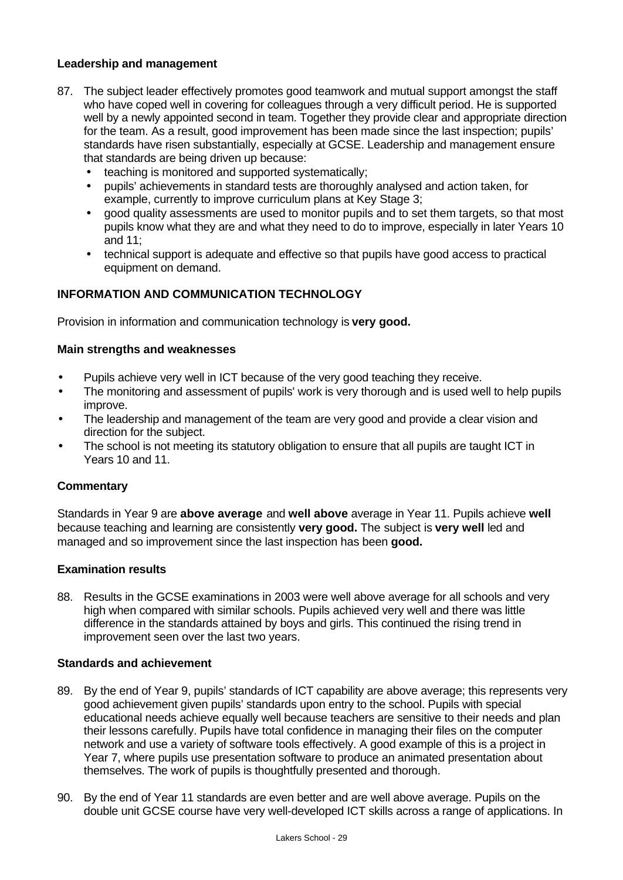### **Leadership and management**

- 87. The subject leader effectively promotes good teamwork and mutual support amongst the staff who have coped well in covering for colleagues through a very difficult period. He is supported well by a newly appointed second in team. Together they provide clear and appropriate direction for the team. As a result, good improvement has been made since the last inspection; pupils' standards have risen substantially, especially at GCSE. Leadership and management ensure that standards are being driven up because:
	- teaching is monitored and supported systematically;
	- pupils' achievements in standard tests are thoroughly analysed and action taken, for example, currently to improve curriculum plans at Key Stage 3;
	- good quality assessments are used to monitor pupils and to set them targets, so that most pupils know what they are and what they need to do to improve, especially in later Years 10 and 11;
	- technical support is adequate and effective so that pupils have good access to practical equipment on demand.

# **INFORMATION AND COMMUNICATION TECHNOLOGY**

Provision in information and communication technology is **very good.**

#### **Main strengths and weaknesses**

- Pupils achieve very well in ICT because of the very good teaching they receive.
- The monitoring and assessment of pupils' work is very thorough and is used well to help pupils improve.
- The leadership and management of the team are very good and provide a clear vision and direction for the subject.
- The school is not meeting its statutory obligation to ensure that all pupils are taught ICT in Years 10 and 11.

#### **Commentary**

Standards in Year 9 are **above average** and **well above** average in Year 11. Pupils achieve **well** because teaching and learning are consistently **very good.** The subject is **very well** led and managed and so improvement since the last inspection has been **good.**

#### **Examination results**

88. Results in the GCSE examinations in 2003 were well above average for all schools and very high when compared with similar schools. Pupils achieved very well and there was little difference in the standards attained by boys and girls. This continued the rising trend in improvement seen over the last two years.

#### **Standards and achievement**

- 89. By the end of Year 9, pupils' standards of ICT capability are above average; this represents very good achievement given pupils' standards upon entry to the school. Pupils with special educational needs achieve equally well because teachers are sensitive to their needs and plan their lessons carefully. Pupils have total confidence in managing their files on the computer network and use a variety of software tools effectively. A good example of this is a project in Year 7, where pupils use presentation software to produce an animated presentation about themselves. The work of pupils is thoughtfully presented and thorough.
- 90. By the end of Year 11 standards are even better and are well above average. Pupils on the double unit GCSE course have very well-developed ICT skills across a range of applications. In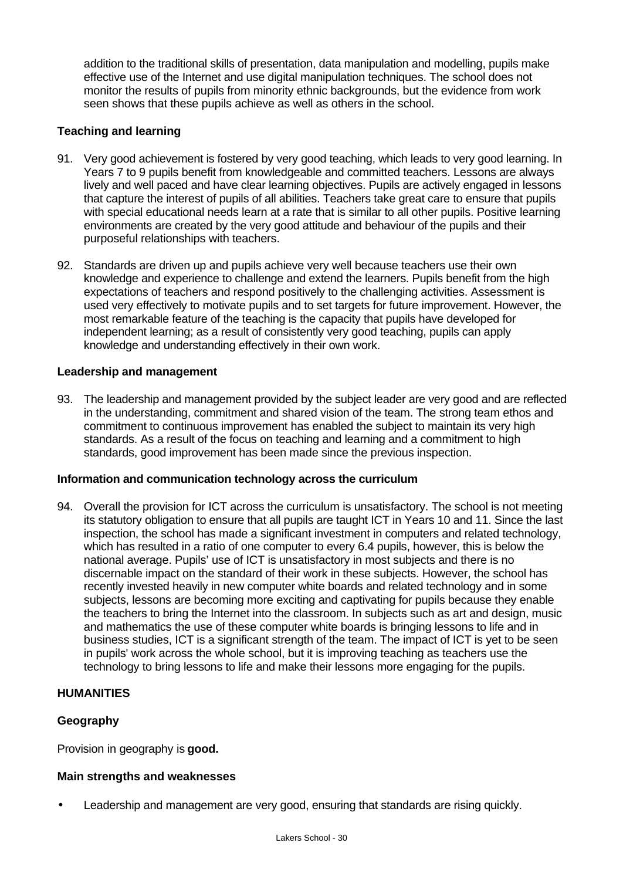addition to the traditional skills of presentation, data manipulation and modelling, pupils make effective use of the Internet and use digital manipulation techniques. The school does not monitor the results of pupils from minority ethnic backgrounds, but the evidence from work seen shows that these pupils achieve as well as others in the school.

# **Teaching and learning**

- 91. Very good achievement is fostered by very good teaching, which leads to very good learning. In Years 7 to 9 pupils benefit from knowledgeable and committed teachers. Lessons are always lively and well paced and have clear learning objectives. Pupils are actively engaged in lessons that capture the interest of pupils of all abilities. Teachers take great care to ensure that pupils with special educational needs learn at a rate that is similar to all other pupils. Positive learning environments are created by the very good attitude and behaviour of the pupils and their purposeful relationships with teachers.
- 92. Standards are driven up and pupils achieve very well because teachers use their own knowledge and experience to challenge and extend the learners. Pupils benefit from the high expectations of teachers and respond positively to the challenging activities. Assessment is used very effectively to motivate pupils and to set targets for future improvement. However, the most remarkable feature of the teaching is the capacity that pupils have developed for independent learning; as a result of consistently very good teaching, pupils can apply knowledge and understanding effectively in their own work.

#### **Leadership and management**

93. The leadership and management provided by the subject leader are very good and are reflected in the understanding, commitment and shared vision of the team. The strong team ethos and commitment to continuous improvement has enabled the subject to maintain its very high standards. As a result of the focus on teaching and learning and a commitment to high standards, good improvement has been made since the previous inspection.

#### **Information and communication technology across the curriculum**

94. Overall the provision for ICT across the curriculum is unsatisfactory. The school is not meeting its statutory obligation to ensure that all pupils are taught ICT in Years 10 and 11. Since the last inspection, the school has made a significant investment in computers and related technology, which has resulted in a ratio of one computer to every 6.4 pupils, however, this is below the national average. Pupils' use of ICT is unsatisfactory in most subjects and there is no discernable impact on the standard of their work in these subjects. However, the school has recently invested heavily in new computer white boards and related technology and in some subjects, lessons are becoming more exciting and captivating for pupils because they enable the teachers to bring the Internet into the classroom. In subjects such as art and design, music and mathematics the use of these computer white boards is bringing lessons to life and in business studies, ICT is a significant strength of the team. The impact of ICT is yet to be seen in pupils' work across the whole school, but it is improving teaching as teachers use the technology to bring lessons to life and make their lessons more engaging for the pupils.

# **HUMANITIES**

#### **Geography**

Provision in geography is **good.**

#### **Main strengths and weaknesses**

• Leadership and management are very good, ensuring that standards are rising quickly.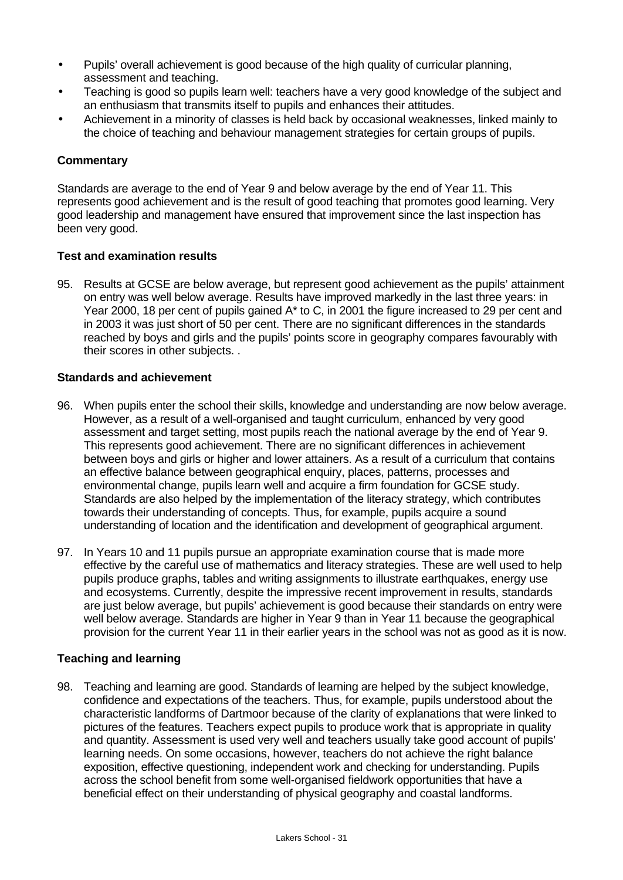- Pupils' overall achievement is good because of the high quality of curricular planning, assessment and teaching.
- Teaching is good so pupils learn well: teachers have a very good knowledge of the subject and an enthusiasm that transmits itself to pupils and enhances their attitudes.
- Achievement in a minority of classes is held back by occasional weaknesses, linked mainly to the choice of teaching and behaviour management strategies for certain groups of pupils.

# **Commentary**

Standards are average to the end of Year 9 and below average by the end of Year 11. This represents good achievement and is the result of good teaching that promotes good learning. Very good leadership and management have ensured that improvement since the last inspection has been very good.

#### **Test and examination results**

95. Results at GCSE are below average, but represent good achievement as the pupils' attainment on entry was well below average. Results have improved markedly in the last three years: in Year 2000, 18 per cent of pupils gained A\* to C, in 2001 the figure increased to 29 per cent and in 2003 it was just short of 50 per cent. There are no significant differences in the standards reached by boys and girls and the pupils' points score in geography compares favourably with their scores in other subjects. .

#### **Standards and achievement**

- 96. When pupils enter the school their skills, knowledge and understanding are now below average. However, as a result of a well-organised and taught curriculum, enhanced by very good assessment and target setting, most pupils reach the national average by the end of Year 9. This represents good achievement. There are no significant differences in achievement between boys and girls or higher and lower attainers. As a result of a curriculum that contains an effective balance between geographical enquiry, places, patterns, processes and environmental change, pupils learn well and acquire a firm foundation for GCSE study. Standards are also helped by the implementation of the literacy strategy, which contributes towards their understanding of concepts. Thus, for example, pupils acquire a sound understanding of location and the identification and development of geographical argument.
- 97. In Years 10 and 11 pupils pursue an appropriate examination course that is made more effective by the careful use of mathematics and literacy strategies. These are well used to help pupils produce graphs, tables and writing assignments to illustrate earthquakes, energy use and ecosystems. Currently, despite the impressive recent improvement in results, standards are just below average, but pupils' achievement is good because their standards on entry were well below average. Standards are higher in Year 9 than in Year 11 because the geographical provision for the current Year 11 in their earlier years in the school was not as good as it is now.

#### **Teaching and learning**

98. Teaching and learning are good. Standards of learning are helped by the subject knowledge, confidence and expectations of the teachers. Thus, for example, pupils understood about the characteristic landforms of Dartmoor because of the clarity of explanations that were linked to pictures of the features. Teachers expect pupils to produce work that is appropriate in quality and quantity. Assessment is used very well and teachers usually take good account of pupils' learning needs. On some occasions, however, teachers do not achieve the right balance exposition, effective questioning, independent work and checking for understanding. Pupils across the school benefit from some well-organised fieldwork opportunities that have a beneficial effect on their understanding of physical geography and coastal landforms.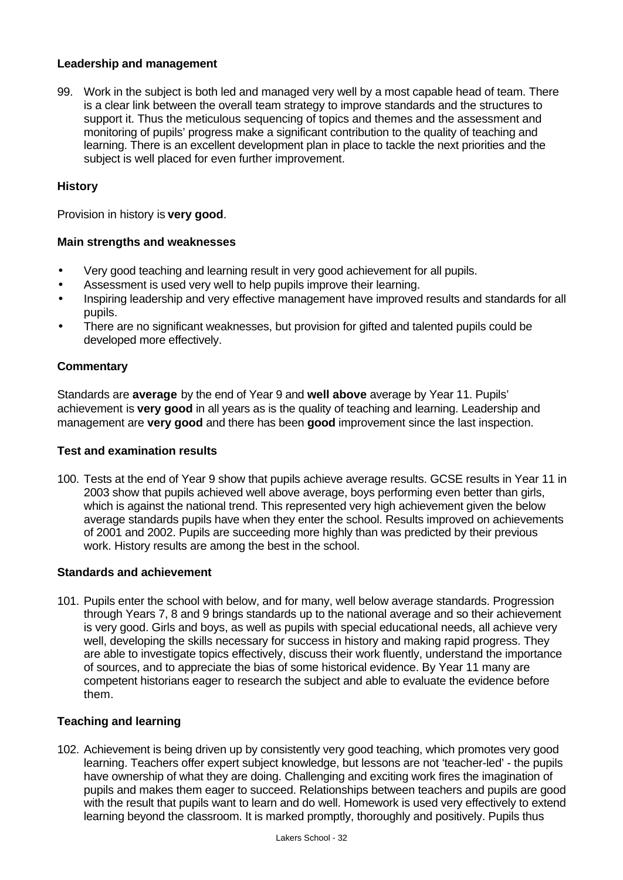# **Leadership and management**

99. Work in the subject is both led and managed very well by a most capable head of team. There is a clear link between the overall team strategy to improve standards and the structures to support it. Thus the meticulous sequencing of topics and themes and the assessment and monitoring of pupils' progress make a significant contribution to the quality of teaching and learning. There is an excellent development plan in place to tackle the next priorities and the subject is well placed for even further improvement.

# **History**

Provision in history is **very good**.

# **Main strengths and weaknesses**

- Very good teaching and learning result in very good achievement for all pupils.
- Assessment is used very well to help pupils improve their learning.
- Inspiring leadership and very effective management have improved results and standards for all pupils.
- There are no significant weaknesses, but provision for gifted and talented pupils could be developed more effectively.

#### **Commentary**

Standards are **average** by the end of Year 9 and **well above** average by Year 11. Pupils' achievement is **very good** in all years as is the quality of teaching and learning. Leadership and management are **very good** and there has been **good** improvement since the last inspection.

#### **Test and examination results**

100. Tests at the end of Year 9 show that pupils achieve average results. GCSE results in Year 11 in 2003 show that pupils achieved well above average, boys performing even better than girls, which is against the national trend. This represented very high achievement given the below average standards pupils have when they enter the school. Results improved on achievements of 2001 and 2002. Pupils are succeeding more highly than was predicted by their previous work. History results are among the best in the school.

#### **Standards and achievement**

101. Pupils enter the school with below, and for many, well below average standards. Progression through Years 7, 8 and 9 brings standards up to the national average and so their achievement is very good. Girls and boys, as well as pupils with special educational needs, all achieve very well, developing the skills necessary for success in history and making rapid progress. They are able to investigate topics effectively, discuss their work fluently, understand the importance of sources, and to appreciate the bias of some historical evidence. By Year 11 many are competent historians eager to research the subject and able to evaluate the evidence before them.

#### **Teaching and learning**

102. Achievement is being driven up by consistently very good teaching, which promotes very good learning. Teachers offer expert subject knowledge, but lessons are not 'teacher-led' - the pupils have ownership of what they are doing. Challenging and exciting work fires the imagination of pupils and makes them eager to succeed. Relationships between teachers and pupils are good with the result that pupils want to learn and do well. Homework is used very effectively to extend learning beyond the classroom. It is marked promptly, thoroughly and positively. Pupils thus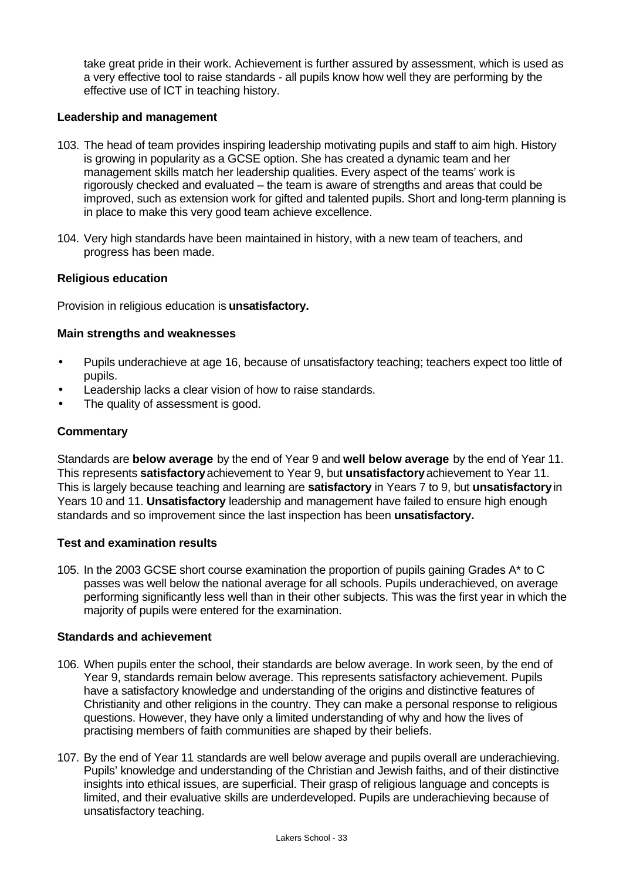take great pride in their work. Achievement is further assured by assessment, which is used as a very effective tool to raise standards - all pupils know how well they are performing by the effective use of ICT in teaching history.

#### **Leadership and management**

- 103. The head of team provides inspiring leadership motivating pupils and staff to aim high. History is growing in popularity as a GCSE option. She has created a dynamic team and her management skills match her leadership qualities. Every aspect of the teams' work is rigorously checked and evaluated – the team is aware of strengths and areas that could be improved, such as extension work for gifted and talented pupils. Short and long-term planning is in place to make this very good team achieve excellence.
- 104. Very high standards have been maintained in history, with a new team of teachers, and progress has been made.

#### **Religious education**

Provision in religious education is **unsatisfactory.**

#### **Main strengths and weaknesses**

- Pupils underachieve at age 16, because of unsatisfactory teaching; teachers expect too little of pupils.
- Leadership lacks a clear vision of how to raise standards.
- The quality of assessment is good.

#### **Commentary**

Standards are **below average** by the end of Year 9 and **well below average** by the end of Year 11. This represents **satisfactory** achievement to Year 9, but **unsatisfactory** achievement to Year 11. This is largely because teaching and learning are **satisfactory** in Years 7 to 9, but **unsatisfactory** in Years 10 and 11. **Unsatisfactory** leadership and management have failed to ensure high enough standards and so improvement since the last inspection has been **unsatisfactory.**

#### **Test and examination results**

105. In the 2003 GCSE short course examination the proportion of pupils gaining Grades A\* to C passes was well below the national average for all schools. Pupils underachieved, on average performing significantly less well than in their other subjects. This was the first year in which the majority of pupils were entered for the examination.

#### **Standards and achievement**

- 106. When pupils enter the school, their standards are below average. In work seen, by the end of Year 9, standards remain below average. This represents satisfactory achievement. Pupils have a satisfactory knowledge and understanding of the origins and distinctive features of Christianity and other religions in the country. They can make a personal response to religious questions. However, they have only a limited understanding of why and how the lives of practising members of faith communities are shaped by their beliefs.
- 107. By the end of Year 11 standards are well below average and pupils overall are underachieving. Pupils' knowledge and understanding of the Christian and Jewish faiths, and of their distinctive insights into ethical issues, are superficial. Their grasp of religious language and concepts is limited, and their evaluative skills are underdeveloped. Pupils are underachieving because of unsatisfactory teaching.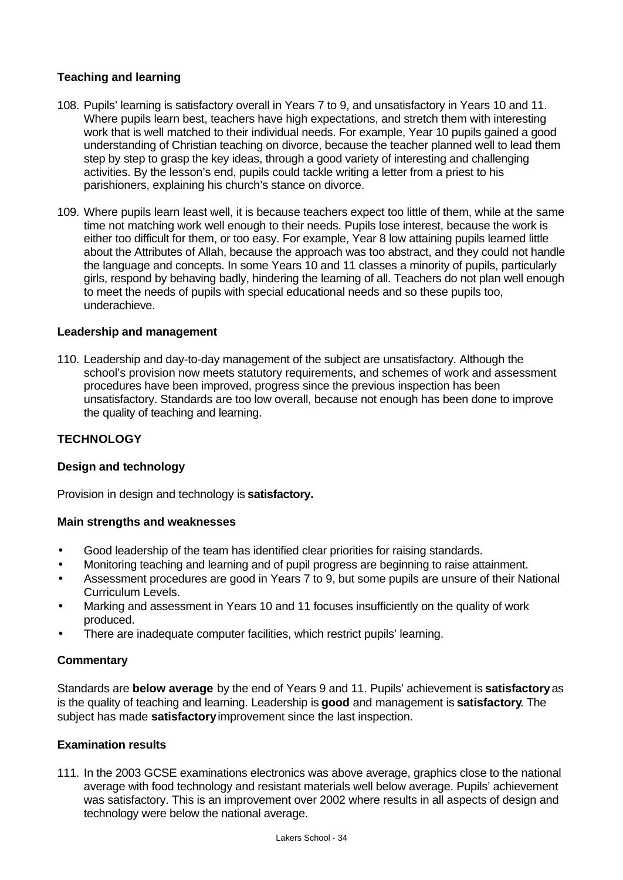# **Teaching and learning**

- 108. Pupils' learning is satisfactory overall in Years 7 to 9, and unsatisfactory in Years 10 and 11. Where pupils learn best, teachers have high expectations, and stretch them with interesting work that is well matched to their individual needs. For example, Year 10 pupils gained a good understanding of Christian teaching on divorce, because the teacher planned well to lead them step by step to grasp the key ideas, through a good variety of interesting and challenging activities. By the lesson's end, pupils could tackle writing a letter from a priest to his parishioners, explaining his church's stance on divorce.
- 109. Where pupils learn least well, it is because teachers expect too little of them, while at the same time not matching work well enough to their needs. Pupils lose interest, because the work is either too difficult for them, or too easy. For example, Year 8 low attaining pupils learned little about the Attributes of Allah, because the approach was too abstract, and they could not handle the language and concepts. In some Years 10 and 11 classes a minority of pupils, particularly girls, respond by behaving badly, hindering the learning of all. Teachers do not plan well enough to meet the needs of pupils with special educational needs and so these pupils too, underachieve.

#### **Leadership and management**

110. Leadership and day-to-day management of the subject are unsatisfactory. Although the school's provision now meets statutory requirements, and schemes of work and assessment procedures have been improved, progress since the previous inspection has been unsatisfactory. Standards are too low overall, because not enough has been done to improve the quality of teaching and learning.

#### **TECHNOLOGY**

#### **Design and technology**

Provision in design and technology is **satisfactory.**

#### **Main strengths and weaknesses**

- Good leadership of the team has identified clear priorities for raising standards.
- Monitoring teaching and learning and of pupil progress are beginning to raise attainment.
- Assessment procedures are good in Years 7 to 9, but some pupils are unsure of their National Curriculum Levels.
- Marking and assessment in Years 10 and 11 focuses insufficiently on the quality of work produced.
- There are inadequate computer facilities, which restrict pupils' learning.

#### **Commentary**

Standards are **below average** by the end of Years 9 and 11. Pupils' achievement is **satisfactory** as is the quality of teaching and learning. Leadership is **good** and management is **satisfactory**. The subject has made **satisfactory** improvement since the last inspection.

#### **Examination results**

111. In the 2003 GCSE examinations electronics was above average, graphics close to the national average with food technology and resistant materials well below average. Pupils' achievement was satisfactory. This is an improvement over 2002 where results in all aspects of design and technology were below the national average.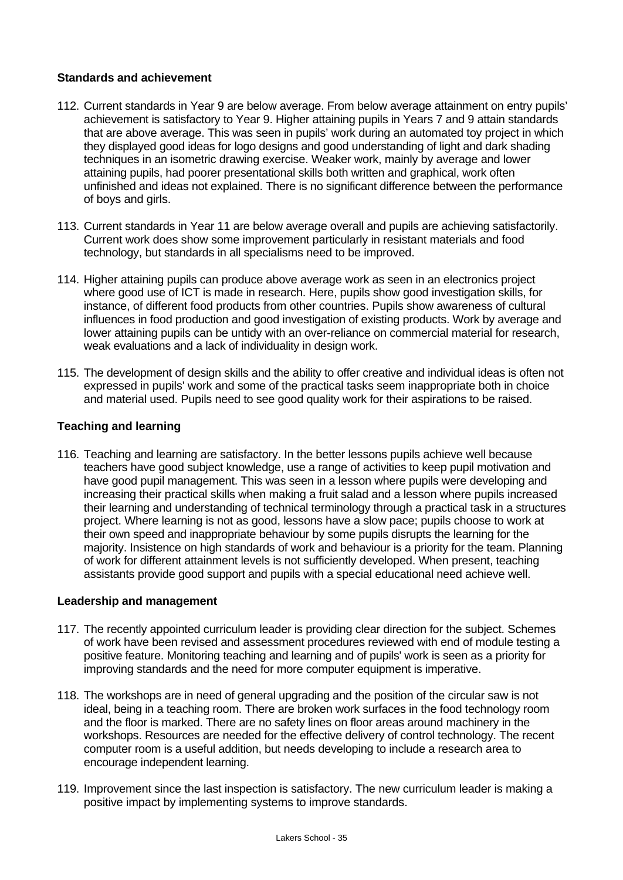# **Standards and achievement**

- 112. Current standards in Year 9 are below average. From below average attainment on entry pupils' achievement is satisfactory to Year 9. Higher attaining pupils in Years 7 and 9 attain standards that are above average. This was seen in pupils' work during an automated toy project in which they displayed good ideas for logo designs and good understanding of light and dark shading techniques in an isometric drawing exercise. Weaker work, mainly by average and lower attaining pupils, had poorer presentational skills both written and graphical, work often unfinished and ideas not explained. There is no significant difference between the performance of boys and girls.
- 113. Current standards in Year 11 are below average overall and pupils are achieving satisfactorily. Current work does show some improvement particularly in resistant materials and food technology, but standards in all specialisms need to be improved.
- 114. Higher attaining pupils can produce above average work as seen in an electronics project where good use of ICT is made in research. Here, pupils show good investigation skills, for instance, of different food products from other countries. Pupils show awareness of cultural influences in food production and good investigation of existing products. Work by average and lower attaining pupils can be untidy with an over-reliance on commercial material for research, weak evaluations and a lack of individuality in design work.
- 115. The development of design skills and the ability to offer creative and individual ideas is often not expressed in pupils' work and some of the practical tasks seem inappropriate both in choice and material used. Pupils need to see good quality work for their aspirations to be raised.

# **Teaching and learning**

116. Teaching and learning are satisfactory. In the better lessons pupils achieve well because teachers have good subject knowledge, use a range of activities to keep pupil motivation and have good pupil management. This was seen in a lesson where pupils were developing and increasing their practical skills when making a fruit salad and a lesson where pupils increased their learning and understanding of technical terminology through a practical task in a structures project. Where learning is not as good, lessons have a slow pace; pupils choose to work at their own speed and inappropriate behaviour by some pupils disrupts the learning for the majority. Insistence on high standards of work and behaviour is a priority for the team. Planning of work for different attainment levels is not sufficiently developed. When present, teaching assistants provide good support and pupils with a special educational need achieve well.

#### **Leadership and management**

- 117. The recently appointed curriculum leader is providing clear direction for the subject. Schemes of work have been revised and assessment procedures reviewed with end of module testing a positive feature. Monitoring teaching and learning and of pupils' work is seen as a priority for improving standards and the need for more computer equipment is imperative.
- 118. The workshops are in need of general upgrading and the position of the circular saw is not ideal, being in a teaching room. There are broken work surfaces in the food technology room and the floor is marked. There are no safety lines on floor areas around machinery in the workshops. Resources are needed for the effective delivery of control technology. The recent computer room is a useful addition, but needs developing to include a research area to encourage independent learning.
- 119. Improvement since the last inspection is satisfactory. The new curriculum leader is making a positive impact by implementing systems to improve standards.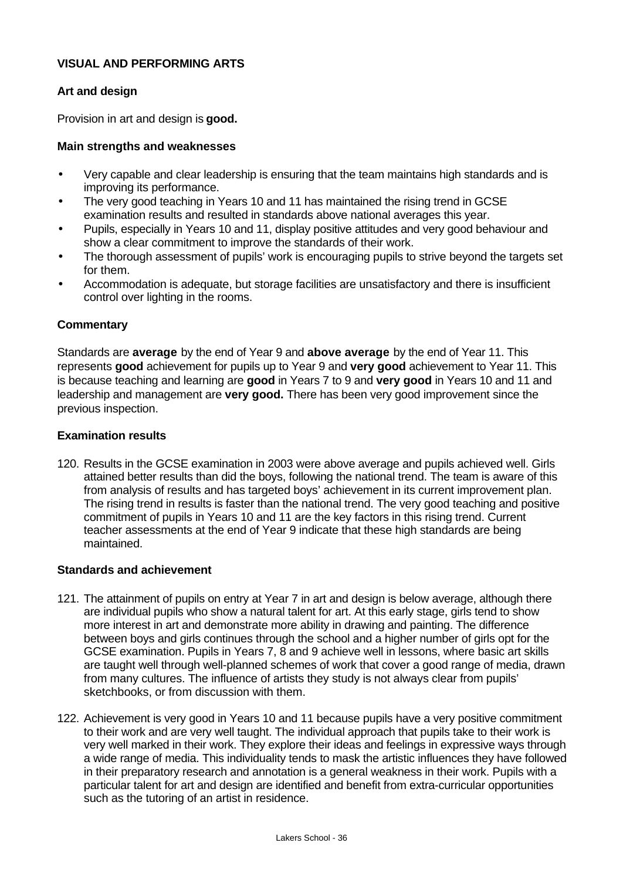#### **VISUAL AND PERFORMING ARTS**

#### **Art and design**

Provision in art and design is **good.**

#### **Main strengths and weaknesses**

- Very capable and clear leadership is ensuring that the team maintains high standards and is improving its performance.
- The very good teaching in Years 10 and 11 has maintained the rising trend in GCSE examination results and resulted in standards above national averages this year.
- Pupils, especially in Years 10 and 11, display positive attitudes and very good behaviour and show a clear commitment to improve the standards of their work.
- The thorough assessment of pupils' work is encouraging pupils to strive beyond the targets set for them.
- Accommodation is adequate, but storage facilities are unsatisfactory and there is insufficient control over lighting in the rooms.

#### **Commentary**

Standards are **average** by the end of Year 9 and **above average** by the end of Year 11. This represents **good** achievement for pupils up to Year 9 and **very good** achievement to Year 11. This is because teaching and learning are **good** in Years 7 to 9 and **very good** in Years 10 and 11 and leadership and management are **very good.** There has been very good improvement since the previous inspection.

#### **Examination results**

120. Results in the GCSE examination in 2003 were above average and pupils achieved well. Girls attained better results than did the boys, following the national trend. The team is aware of this from analysis of results and has targeted boys' achievement in its current improvement plan. The rising trend in results is faster than the national trend. The very good teaching and positive commitment of pupils in Years 10 and 11 are the key factors in this rising trend. Current teacher assessments at the end of Year 9 indicate that these high standards are being maintained.

#### **Standards and achievement**

- 121. The attainment of pupils on entry at Year 7 in art and design is below average, although there are individual pupils who show a natural talent for art. At this early stage, girls tend to show more interest in art and demonstrate more ability in drawing and painting. The difference between boys and girls continues through the school and a higher number of girls opt for the GCSE examination. Pupils in Years 7, 8 and 9 achieve well in lessons, where basic art skills are taught well through well-planned schemes of work that cover a good range of media, drawn from many cultures. The influence of artists they study is not always clear from pupils' sketchbooks, or from discussion with them.
- 122. Achievement is very good in Years 10 and 11 because pupils have a very positive commitment to their work and are very well taught. The individual approach that pupils take to their work is very well marked in their work. They explore their ideas and feelings in expressive ways through a wide range of media. This individuality tends to mask the artistic influences they have followed in their preparatory research and annotation is a general weakness in their work. Pupils with a particular talent for art and design are identified and benefit from extra-curricular opportunities such as the tutoring of an artist in residence.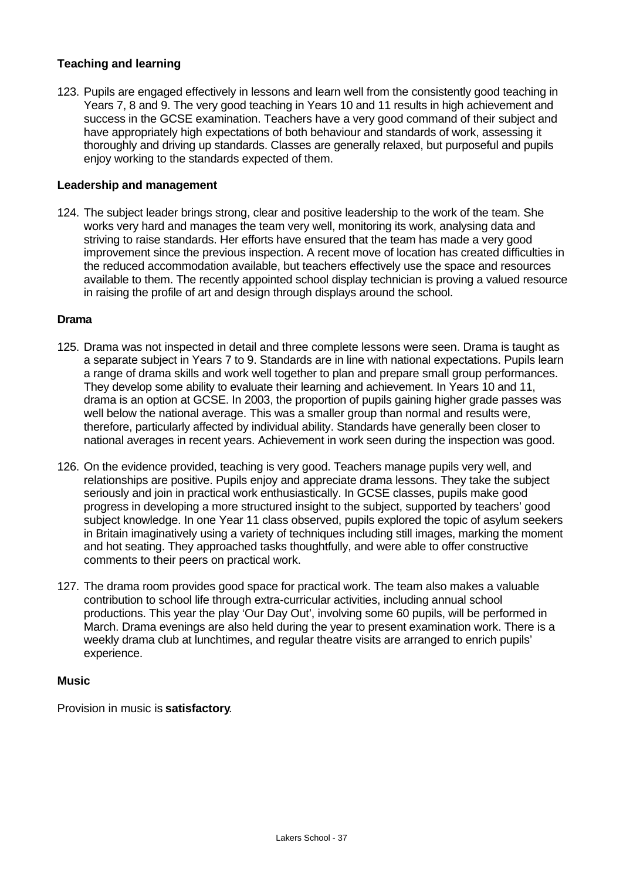### **Teaching and learning**

123. Pupils are engaged effectively in lessons and learn well from the consistently good teaching in Years 7, 8 and 9. The very good teaching in Years 10 and 11 results in high achievement and success in the GCSE examination. Teachers have a very good command of their subject and have appropriately high expectations of both behaviour and standards of work, assessing it thoroughly and driving up standards. Classes are generally relaxed, but purposeful and pupils enjoy working to the standards expected of them.

#### **Leadership and management**

124. The subject leader brings strong, clear and positive leadership to the work of the team. She works very hard and manages the team very well, monitoring its work, analysing data and striving to raise standards. Her efforts have ensured that the team has made a very good improvement since the previous inspection. A recent move of location has created difficulties in the reduced accommodation available, but teachers effectively use the space and resources available to them. The recently appointed school display technician is proving a valued resource in raising the profile of art and design through displays around the school.

#### **Drama**

- 125. Drama was not inspected in detail and three complete lessons were seen. Drama is taught as a separate subject in Years 7 to 9. Standards are in line with national expectations. Pupils learn a range of drama skills and work well together to plan and prepare small group performances. They develop some ability to evaluate their learning and achievement. In Years 10 and 11, drama is an option at GCSE. In 2003, the proportion of pupils gaining higher grade passes was well below the national average. This was a smaller group than normal and results were, therefore, particularly affected by individual ability. Standards have generally been closer to national averages in recent years. Achievement in work seen during the inspection was good.
- 126. On the evidence provided, teaching is very good. Teachers manage pupils very well, and relationships are positive. Pupils enjoy and appreciate drama lessons. They take the subject seriously and join in practical work enthusiastically. In GCSE classes, pupils make good progress in developing a more structured insight to the subject, supported by teachers' good subject knowledge. In one Year 11 class observed, pupils explored the topic of asylum seekers in Britain imaginatively using a variety of techniques including still images, marking the moment and hot seating. They approached tasks thoughtfully, and were able to offer constructive comments to their peers on practical work.
- 127. The drama room provides good space for practical work. The team also makes a valuable contribution to school life through extra-curricular activities, including annual school productions. This year the play 'Our Day Out', involving some 60 pupils, will be performed in March. Drama evenings are also held during the year to present examination work. There is a weekly drama club at lunchtimes, and regular theatre visits are arranged to enrich pupils' experience.

#### **Music**

Provision in music is **satisfactory**.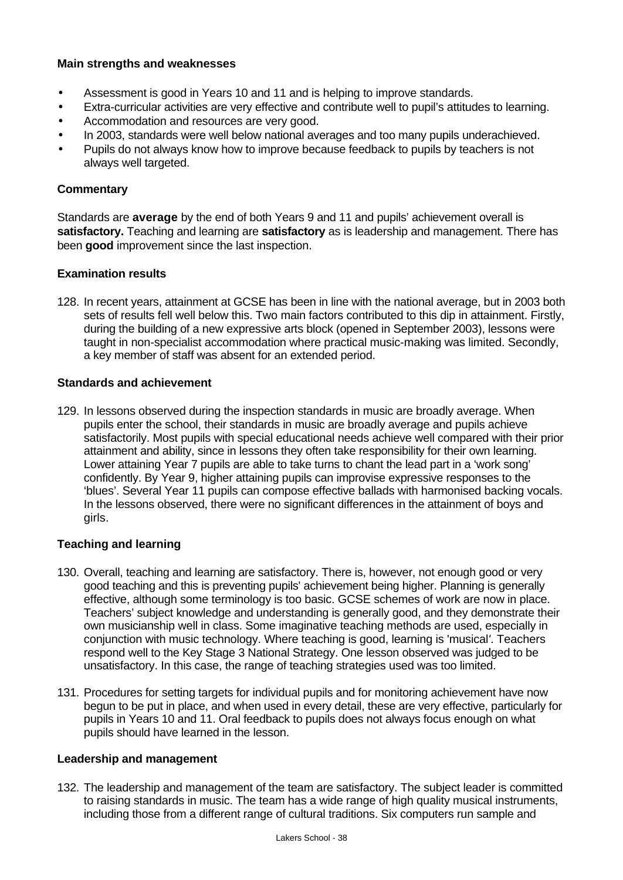#### **Main strengths and weaknesses**

- Assessment is good in Years 10 and 11 and is helping to improve standards.
- Extra-curricular activities are very effective and contribute well to pupil's attitudes to learning.
- Accommodation and resources are very good.
- In 2003, standards were well below national averages and too many pupils underachieved.
- Pupils do not always know how to improve because feedback to pupils by teachers is not always well targeted.

#### **Commentary**

Standards are **average** by the end of both Years 9 and 11 and pupils' achievement overall is **satisfactory.** Teaching and learning are **satisfactory** as is leadership and management. There has been **good** improvement since the last inspection.

#### **Examination results**

128. In recent years, attainment at GCSE has been in line with the national average, but in 2003 both sets of results fell well below this. Two main factors contributed to this dip in attainment. Firstly, during the building of a new expressive arts block (opened in September 2003), lessons were taught in non-specialist accommodation where practical music-making was limited. Secondly, a key member of staff was absent for an extended period.

#### **Standards and achievement**

129. In lessons observed during the inspection standards in music are broadly average. When pupils enter the school, their standards in music are broadly average and pupils achieve satisfactorily. Most pupils with special educational needs achieve well compared with their prior attainment and ability, since in lessons they often take responsibility for their own learning. Lower attaining Year 7 pupils are able to take turns to chant the lead part in a 'work song' confidently. By Year 9, higher attaining pupils can improvise expressive responses to the 'blues'. Several Year 11 pupils can compose effective ballads with harmonised backing vocals. In the lessons observed, there were no significant differences in the attainment of boys and girls.

#### **Teaching and learning**

- 130. Overall, teaching and learning are satisfactory. There is, however, not enough good or very good teaching and this is preventing pupils' achievement being higher. Planning is generally effective, although some terminology is too basic. GCSE schemes of work are now in place. Teachers' subject knowledge and understanding is generally good, and they demonstrate their own musicianship well in class. Some imaginative teaching methods are used, especially in conjunction with music technology. Where teaching is good, learning is 'musical*'*. Teachers respond well to the Key Stage 3 National Strategy. One lesson observed was judged to be unsatisfactory. In this case, the range of teaching strategies used was too limited.
- 131. Procedures for setting targets for individual pupils and for monitoring achievement have now begun to be put in place, and when used in every detail, these are very effective, particularly for pupils in Years 10 and 11. Oral feedback to pupils does not always focus enough on what pupils should have learned in the lesson.

#### **Leadership and management**

132. The leadership and management of the team are satisfactory. The subject leader is committed to raising standards in music. The team has a wide range of high quality musical instruments, including those from a different range of cultural traditions. Six computers run sample and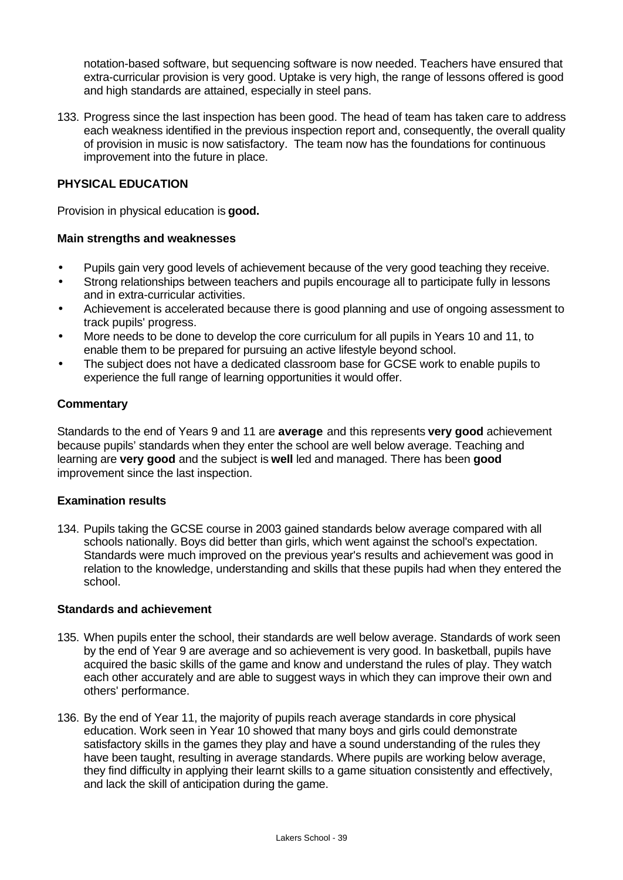notation-based software, but sequencing software is now needed. Teachers have ensured that extra-curricular provision is very good. Uptake is very high, the range of lessons offered is good and high standards are attained, especially in steel pans.

133. Progress since the last inspection has been good. The head of team has taken care to address each weakness identified in the previous inspection report and, consequently, the overall quality of provision in music is now satisfactory. The team now has the foundations for continuous improvement into the future in place.

#### **PHYSICAL EDUCATION**

Provision in physical education is **good.**

#### **Main strengths and weaknesses**

- Pupils gain very good levels of achievement because of the very good teaching they receive.
- Strong relationships between teachers and pupils encourage all to participate fully in lessons and in extra-curricular activities.
- Achievement is accelerated because there is good planning and use of ongoing assessment to track pupils' progress.
- More needs to be done to develop the core curriculum for all pupils in Years 10 and 11, to enable them to be prepared for pursuing an active lifestyle beyond school.
- The subject does not have a dedicated classroom base for GCSE work to enable pupils to experience the full range of learning opportunities it would offer.

#### **Commentary**

Standards to the end of Years 9 and 11 are **average** and this represents **very good** achievement because pupils' standards when they enter the school are well below average. Teaching and learning are **very good** and the subject is **well** led and managed. There has been **good** improvement since the last inspection.

#### **Examination results**

134. Pupils taking the GCSE course in 2003 gained standards below average compared with all schools nationally. Boys did better than girls, which went against the school's expectation. Standards were much improved on the previous year's results and achievement was good in relation to the knowledge, understanding and skills that these pupils had when they entered the school.

#### **Standards and achievement**

- 135. When pupils enter the school, their standards are well below average. Standards of work seen by the end of Year 9 are average and so achievement is very good. In basketball, pupils have acquired the basic skills of the game and know and understand the rules of play. They watch each other accurately and are able to suggest ways in which they can improve their own and others' performance.
- 136. By the end of Year 11, the majority of pupils reach average standards in core physical education. Work seen in Year 10 showed that many boys and girls could demonstrate satisfactory skills in the games they play and have a sound understanding of the rules they have been taught, resulting in average standards. Where pupils are working below average, they find difficulty in applying their learnt skills to a game situation consistently and effectively, and lack the skill of anticipation during the game.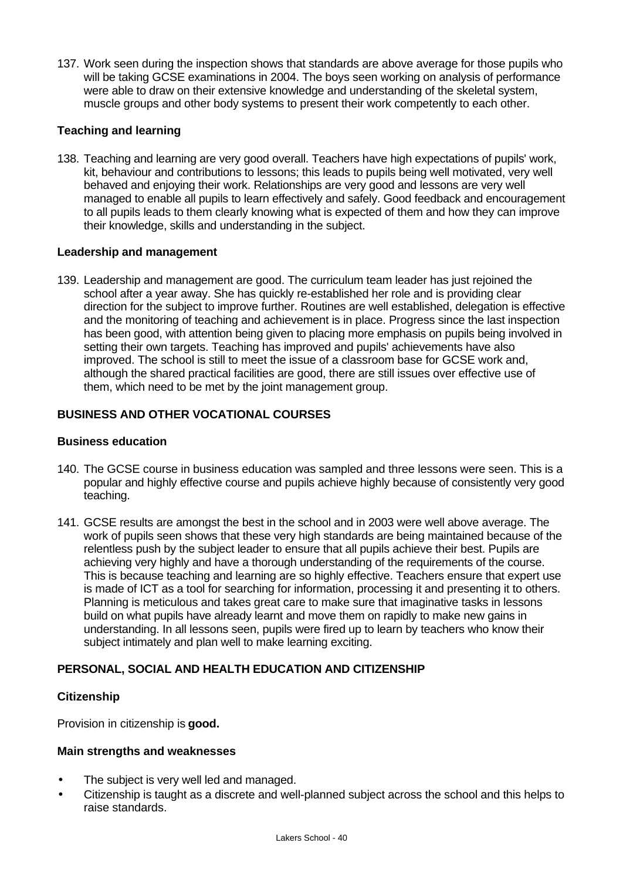137. Work seen during the inspection shows that standards are above average for those pupils who will be taking GCSE examinations in 2004. The boys seen working on analysis of performance were able to draw on their extensive knowledge and understanding of the skeletal system, muscle groups and other body systems to present their work competently to each other.

# **Teaching and learning**

138. Teaching and learning are very good overall. Teachers have high expectations of pupils' work, kit, behaviour and contributions to lessons; this leads to pupils being well motivated, very well behaved and enjoying their work. Relationships are very good and lessons are very well managed to enable all pupils to learn effectively and safely. Good feedback and encouragement to all pupils leads to them clearly knowing what is expected of them and how they can improve their knowledge, skills and understanding in the subject.

# **Leadership and management**

139. Leadership and management are good. The curriculum team leader has just rejoined the school after a year away. She has quickly re-established her role and is providing clear direction for the subject to improve further. Routines are well established, delegation is effective and the monitoring of teaching and achievement is in place. Progress since the last inspection has been good, with attention being given to placing more emphasis on pupils being involved in setting their own targets. Teaching has improved and pupils' achievements have also improved. The school is still to meet the issue of a classroom base for GCSE work and, although the shared practical facilities are good, there are still issues over effective use of them, which need to be met by the joint management group.

# **BUSINESS AND OTHER VOCATIONAL COURSES**

#### **Business education**

- 140. The GCSE course in business education was sampled and three lessons were seen. This is a popular and highly effective course and pupils achieve highly because of consistently very good teaching.
- 141. GCSE results are amongst the best in the school and in 2003 were well above average. The work of pupils seen shows that these very high standards are being maintained because of the relentless push by the subject leader to ensure that all pupils achieve their best. Pupils are achieving very highly and have a thorough understanding of the requirements of the course. This is because teaching and learning are so highly effective. Teachers ensure that expert use is made of ICT as a tool for searching for information, processing it and presenting it to others. Planning is meticulous and takes great care to make sure that imaginative tasks in lessons build on what pupils have already learnt and move them on rapidly to make new gains in understanding. In all lessons seen, pupils were fired up to learn by teachers who know their subject intimately and plan well to make learning exciting.

# **PERSONAL, SOCIAL AND HEALTH EDUCATION AND CITIZENSHIP**

#### **Citizenship**

Provision in citizenship is **good.**

#### **Main strengths and weaknesses**

- The subject is very well led and managed.
- Citizenship is taught as a discrete and well-planned subject across the school and this helps to raise standards.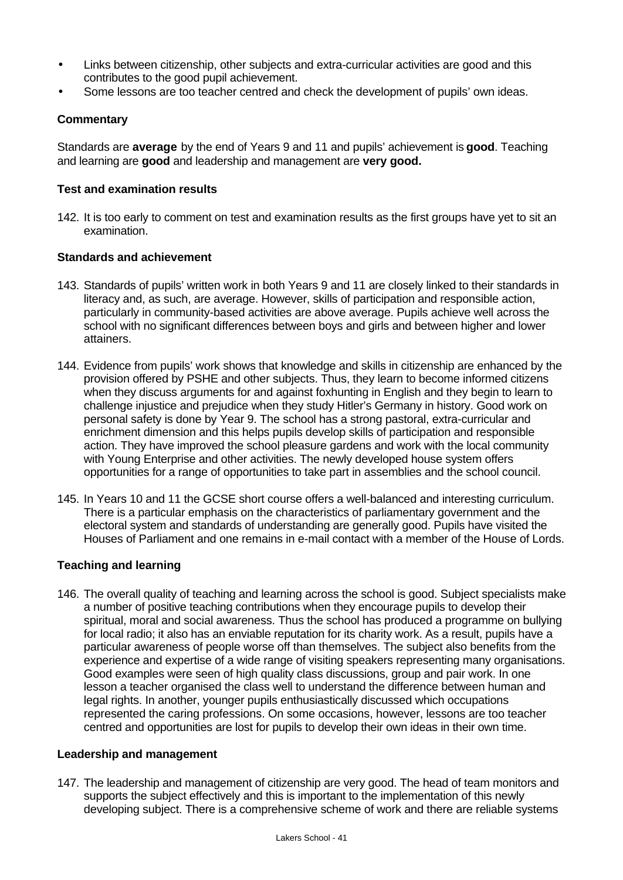- Links between citizenship, other subjects and extra-curricular activities are good and this contributes to the good pupil achievement.
- Some lessons are too teacher centred and check the development of pupils' own ideas.

# **Commentary**

Standards are **average** by the end of Years 9 and 11 and pupils' achievement is **good**. Teaching and learning are **good** and leadership and management are **very good.**

#### **Test and examination results**

142. It is too early to comment on test and examination results as the first groups have yet to sit an examination.

#### **Standards and achievement**

- 143. Standards of pupils' written work in both Years 9 and 11 are closely linked to their standards in literacy and, as such, are average. However, skills of participation and responsible action, particularly in community-based activities are above average. Pupils achieve well across the school with no significant differences between boys and girls and between higher and lower attainers.
- 144. Evidence from pupils' work shows that knowledge and skills in citizenship are enhanced by the provision offered by PSHE and other subjects. Thus, they learn to become informed citizens when they discuss arguments for and against foxhunting in English and they begin to learn to challenge injustice and prejudice when they study Hitler's Germany in history. Good work on personal safety is done by Year 9. The school has a strong pastoral, extra-curricular and enrichment dimension and this helps pupils develop skills of participation and responsible action. They have improved the school pleasure gardens and work with the local community with Young Enterprise and other activities. The newly developed house system offers opportunities for a range of opportunities to take part in assemblies and the school council.
- 145. In Years 10 and 11 the GCSE short course offers a well-balanced and interesting curriculum. There is a particular emphasis on the characteristics of parliamentary government and the electoral system and standards of understanding are generally good. Pupils have visited the Houses of Parliament and one remains in e-mail contact with a member of the House of Lords.

#### **Teaching and learning**

146. The overall quality of teaching and learning across the school is good. Subject specialists make a number of positive teaching contributions when they encourage pupils to develop their spiritual, moral and social awareness. Thus the school has produced a programme on bullying for local radio; it also has an enviable reputation for its charity work. As a result, pupils have a particular awareness of people worse off than themselves. The subject also benefits from the experience and expertise of a wide range of visiting speakers representing many organisations. Good examples were seen of high quality class discussions, group and pair work. In one lesson a teacher organised the class well to understand the difference between human and legal rights. In another, younger pupils enthusiastically discussed which occupations represented the caring professions. On some occasions, however, lessons are too teacher centred and opportunities are lost for pupils to develop their own ideas in their own time.

#### **Leadership and management**

147. The leadership and management of citizenship are very good. The head of team monitors and supports the subject effectively and this is important to the implementation of this newly developing subject. There is a comprehensive scheme of work and there are reliable systems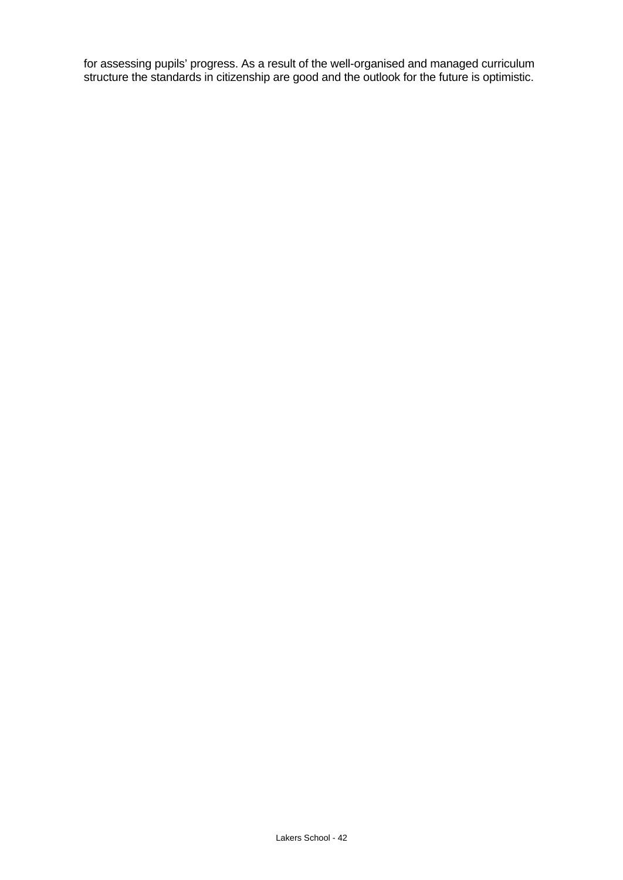for assessing pupils' progress. As a result of the well-organised and managed curriculum structure the standards in citizenship are good and the outlook for the future is optimistic.